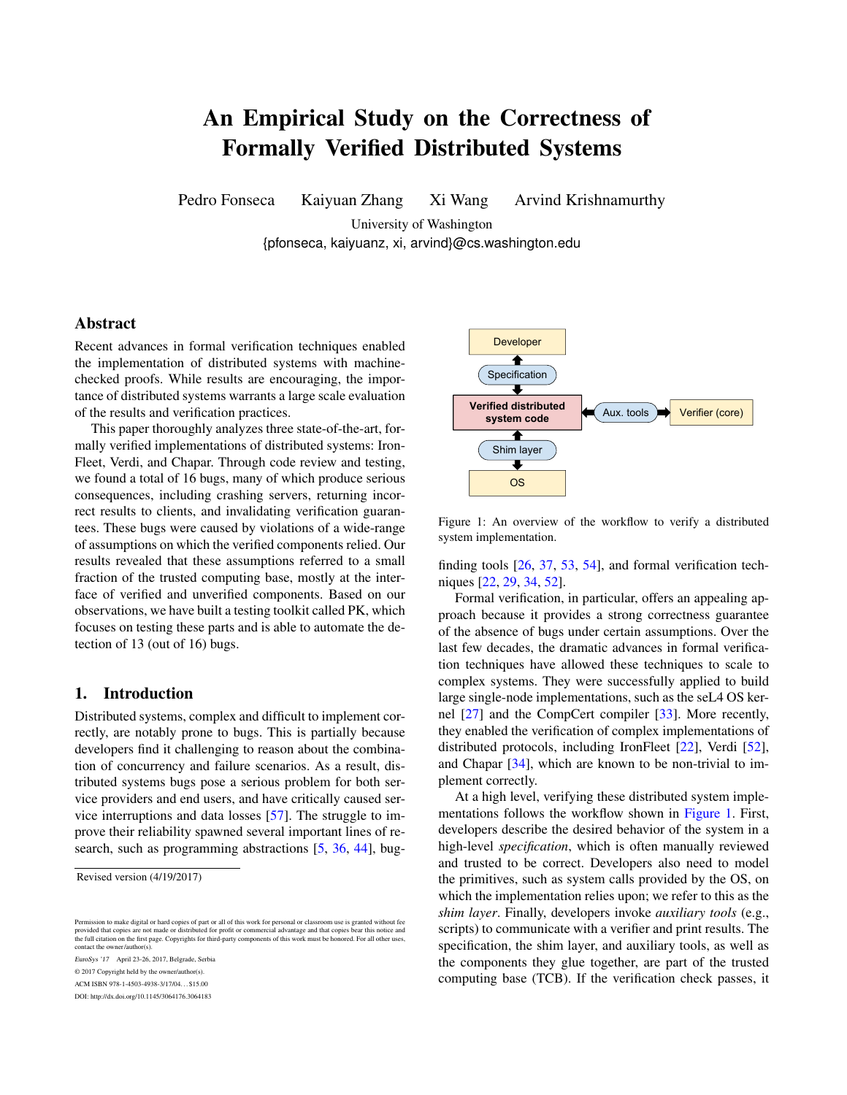# An Empirical Study on the Correctness of Formally Verified Distributed Systems

Pedro Fonseca Kaiyuan Zhang Xi Wang Arvind Krishnamurthy

University of Washington {pfonseca, kaiyuanz, xi, arvind}@cs.washington.edu

# Abstract

Recent advances in formal verification techniques enabled the implementation of distributed systems with machinechecked proofs. While results are encouraging, the importance of distributed systems warrants a large scale evaluation of the results and verification practices.

This paper thoroughly analyzes three state-of-the-art, formally verified implementations of distributed systems: Iron-Fleet, Verdi, and Chapar. Through code review and testing, we found a total of 16 bugs, many of which produce serious consequences, including crashing servers, returning incorrect results to clients, and invalidating verification guarantees. These bugs were caused by violations of a wide-range of assumptions on which the verified components relied. Our results revealed that these assumptions referred to a small fraction of the trusted computing base, mostly at the interface of verified and unverified components. Based on our observations, we have built a testing toolkit called PK, which focuses on testing these parts and is able to automate the detection of 13 (out of 16) bugs.

## 1. Introduction

Distributed systems, complex and difficult to implement correctly, are notably prone to bugs. This is partially because developers find it challenging to reason about the combination of concurrency and failure scenarios. As a result, distributed systems bugs pose a serious problem for both service providers and end users, and have critically caused service interruptions and data losses [\[57\]](#page-15-0). The struggle to improve their reliability spawned several important lines of research, such as programming abstractions [\[5,](#page-13-0) [36,](#page-14-0) [44\]](#page-14-1), bug-

Permission to make digital or hard copies of part or all of this work for personal or classroom use is granted without fee<br>provided that copies are not made or distributed for profit or commercial advantage and that copies the full citation on the first page. Copyrights for third-party components of this work must be honored. For all other uses, contact the owner/author(s).

EuroSys '17 April 23-26, 2017, Belgrade, Serbia

© 2017 Copyright held by the owner/author(s).

ACM ISBN 978-1-4503-4938-3/17/04. . . \$15.00

DOI: http://dx.doi.org/10.1145/3064176.3064183

<span id="page-0-0"></span>

Figure 1: An overview of the workflow to verify a distributed system implementation.

finding tools [\[26,](#page-14-2) [37,](#page-14-3) [53,](#page-15-1) [54\]](#page-15-2), and formal verification techniques [\[22,](#page-14-4) [29,](#page-14-5) [34,](#page-14-6) [52\]](#page-15-3).

Formal verification, in particular, offers an appealing approach because it provides a strong correctness guarantee of the absence of bugs under certain assumptions. Over the last few decades, the dramatic advances in formal verification techniques have allowed these techniques to scale to complex systems. They were successfully applied to build large single-node implementations, such as the seL4 OS kernel [\[27\]](#page-14-7) and the CompCert compiler [\[33\]](#page-14-8). More recently, they enabled the verification of complex implementations of distributed protocols, including IronFleet [\[22\]](#page-14-4), Verdi [\[52\]](#page-15-3), and Chapar [\[34\]](#page-14-6), which are known to be non-trivial to implement correctly.

At a high level, verifying these distributed system implementations follows the workflow shown in [Figure 1.](#page-0-0) First, developers describe the desired behavior of the system in a high-level *specification*, which is often manually reviewed and trusted to be correct. Developers also need to model the primitives, such as system calls provided by the OS, on which the implementation relies upon; we refer to this as the *shim layer*. Finally, developers invoke *auxiliary tools* (e.g., scripts) to communicate with a verifier and print results. The specification, the shim layer, and auxiliary tools, as well as the components they glue together, are part of the trusted computing base (TCB). If the verification check passes, it

Revised version (4/19/2017)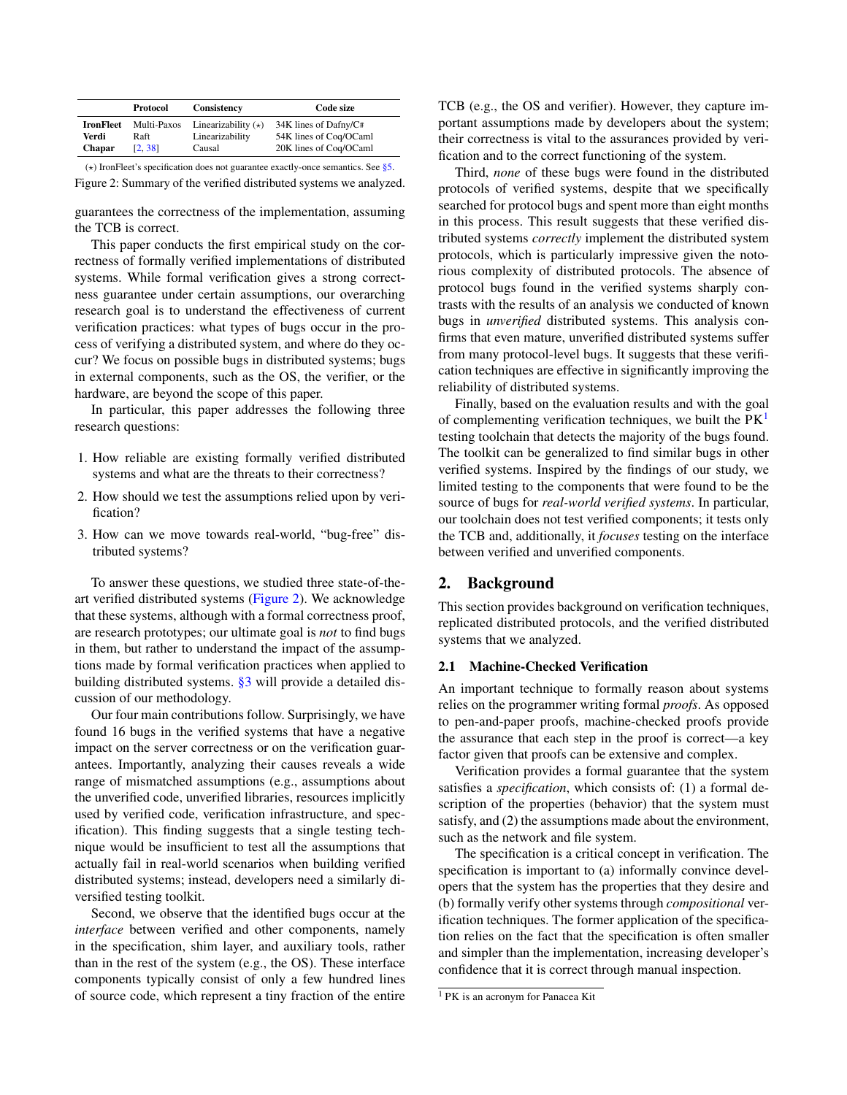<span id="page-1-0"></span>

|                  | Protocol      | Consistency           | Code size              |
|------------------|---------------|-----------------------|------------------------|
| <b>IronFleet</b> | Multi-Paxos   | Linearizability $(*)$ | 34K lines of Dafny/C#  |
| Verdi            | Raft          | Linearizability       | 54K lines of Coq/OCaml |
| Chapar           | <b>12.381</b> | Causal                | 20K lines of Coq/OCaml |

 $(\star)$  IronFleet's specification does not guarantee exactly-once semantics. See [§5.](#page-8-0) Figure 2: Summary of the verified distributed systems we analyzed.

guarantees the correctness of the implementation, assuming the TCB is correct.

This paper conducts the first empirical study on the correctness of formally verified implementations of distributed systems. While formal verification gives a strong correctness guarantee under certain assumptions, our overarching research goal is to understand the effectiveness of current verification practices: what types of bugs occur in the process of verifying a distributed system, and where do they occur? We focus on possible bugs in distributed systems; bugs in external components, such as the OS, the verifier, or the hardware, are beyond the scope of this paper.

In particular, this paper addresses the following three research questions:

- 1. How reliable are existing formally verified distributed systems and what are the threats to their correctness?
- 2. How should we test the assumptions relied upon by verification?
- 3. How can we move towards real-world, "bug-free" distributed systems?

To answer these questions, we studied three state-of-theart verified distributed systems [\(Figure 2\)](#page-1-0). We acknowledge that these systems, although with a formal correctness proof, are research prototypes; our ultimate goal is *not* to find bugs in them, but rather to understand the impact of the assumptions made by formal verification practices when applied to building distributed systems. [§3](#page-3-0) will provide a detailed discussion of our methodology.

Our four main contributions follow. Surprisingly, we have found 16 bugs in the verified systems that have a negative impact on the server correctness or on the verification guarantees. Importantly, analyzing their causes reveals a wide range of mismatched assumptions (e.g., assumptions about the unverified code, unverified libraries, resources implicitly used by verified code, verification infrastructure, and specification). This finding suggests that a single testing technique would be insufficient to test all the assumptions that actually fail in real-world scenarios when building verified distributed systems; instead, developers need a similarly diversified testing toolkit.

Second, we observe that the identified bugs occur at the *interface* between verified and other components, namely in the specification, shim layer, and auxiliary tools, rather than in the rest of the system (e.g., the OS). These interface components typically consist of only a few hundred lines of source code, which represent a tiny fraction of the entire

TCB (e.g., the OS and verifier). However, they capture important assumptions made by developers about the system; their correctness is vital to the assurances provided by verification and to the correct functioning of the system.

Third, *none* of these bugs were found in the distributed protocols of verified systems, despite that we specifically searched for protocol bugs and spent more than eight months in this process. This result suggests that these verified distributed systems *correctly* implement the distributed system protocols, which is particularly impressive given the notorious complexity of distributed protocols. The absence of protocol bugs found in the verified systems sharply contrasts with the results of an analysis we conducted of known bugs in *unverified* distributed systems. This analysis confirms that even mature, unverified distributed systems suffer from many protocol-level bugs. It suggests that these verification techniques are effective in significantly improving the reliability of distributed systems.

Finally, based on the evaluation results and with the goal of complementing verification techniques, we built the  $PK<sup>1</sup>$  $PK<sup>1</sup>$  $PK<sup>1</sup>$ testing toolchain that detects the majority of the bugs found. The toolkit can be generalized to find similar bugs in other verified systems. Inspired by the findings of our study, we limited testing to the components that were found to be the source of bugs for *real-world verified systems*. In particular, our toolchain does not test verified components; it tests only the TCB and, additionally, it *focuses* testing on the interface between verified and unverified components.

## 2. Background

This section provides background on verification techniques, replicated distributed protocols, and the verified distributed systems that we analyzed.

#### 2.1 Machine-Checked Verification

An important technique to formally reason about systems relies on the programmer writing formal *proofs*. As opposed to pen-and-paper proofs, machine-checked proofs provide the assurance that each step in the proof is correct—a key factor given that proofs can be extensive and complex.

Verification provides a formal guarantee that the system satisfies a *specification*, which consists of: (1) a formal description of the properties (behavior) that the system must satisfy, and (2) the assumptions made about the environment, such as the network and file system.

The specification is a critical concept in verification. The specification is important to (a) informally convince developers that the system has the properties that they desire and (b) formally verify other systems through *compositional* verification techniques. The former application of the specification relies on the fact that the specification is often smaller and simpler than the implementation, increasing developer's confidence that it is correct through manual inspection.

<span id="page-1-1"></span><sup>1</sup> PK is an acronym for Panacea Kit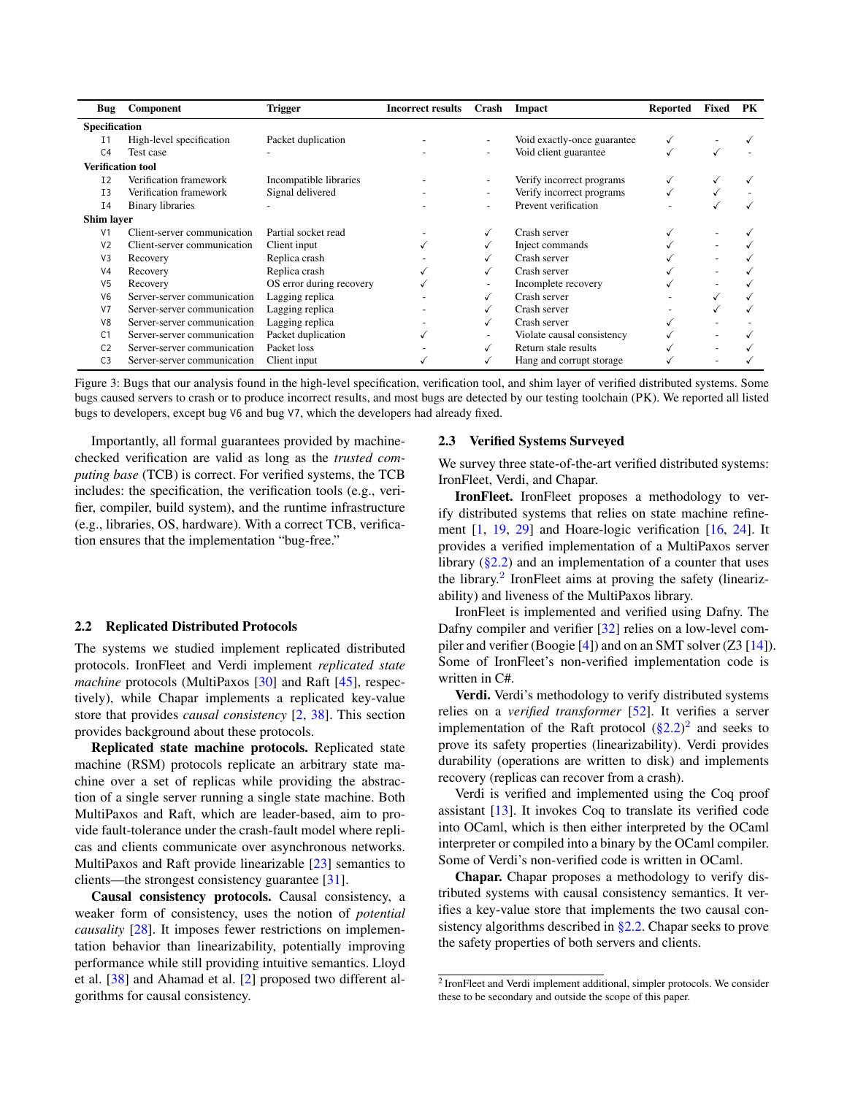<span id="page-2-3"></span>

| Bug                      | Component                   | Trigger                  | <b>Incorrect results</b> | Crash | Impact                      | Reported | Fixed | PК |
|--------------------------|-----------------------------|--------------------------|--------------------------|-------|-----------------------------|----------|-------|----|
| <b>Specification</b>     |                             |                          |                          |       |                             |          |       |    |
| Ι1                       | High-level specification    | Packet duplication       |                          |       | Void exactly-once guarantee |          |       |    |
| C <sub>4</sub>           | Test case                   |                          |                          |       | Void client guarantee       |          |       |    |
| <b>Verification tool</b> |                             |                          |                          |       |                             |          |       |    |
| I <sub>2</sub>           | Verification framework      | Incompatible libraries   |                          |       | Verify incorrect programs   |          |       |    |
| I3                       | Verification framework      | Signal delivered         |                          |       | Verify incorrect programs   |          |       |    |
| I4                       | <b>Binary libraries</b>     |                          |                          |       | Prevent verification        |          |       |    |
| <b>Shim layer</b>        |                             |                          |                          |       |                             |          |       |    |
| V <sub>1</sub>           | Client-server communication | Partial socket read      |                          |       | Crash server                |          |       |    |
| V <sub>2</sub>           | Client-server communication | Client input             |                          |       | Inject commands             |          |       |    |
| V <sub>3</sub>           | Recovery                    | Replica crash            |                          | ✓     | Crash server                |          |       |    |
| V <sub>4</sub>           | Recovery                    | Replica crash            |                          |       | Crash server                |          |       |    |
| V <sub>5</sub>           | Recovery                    | OS error during recovery |                          |       | Incomplete recovery         |          |       |    |
| V <sub>6</sub>           | Server-server communication | Lagging replica          |                          |       | Crash server                |          |       |    |
| V <sub>7</sub>           | Server-server communication | Lagging replica          |                          | √     | Crash server                |          |       |    |
| V8                       | Server-server communication | Lagging replica          |                          |       | Crash server                |          |       |    |
| C <sub>1</sub>           | Server-server communication | Packet duplication       |                          |       | Violate causal consistency  |          |       |    |
| C <sub>2</sub>           | Server-server communication | Packet loss              |                          |       | Return stale results        |          |       |    |
| C <sub>3</sub>           | Server-server communication | Client input             |                          |       | Hang and corrupt storage    |          |       |    |

Figure 3: Bugs that our analysis found in the high-level specification, verification tool, and shim layer of verified distributed systems. Some bugs caused servers to crash or to produce incorrect results, and most bugs are detected by our testing toolchain (PK). We reported all listed bugs to developers, except bug V6 and bug V7, which the developers had already fixed.

Importantly, all formal guarantees provided by machinechecked verification are valid as long as the *trusted computing base* (TCB) is correct. For verified systems, the TCB includes: the specification, the verification tools (e.g., verifier, compiler, build system), and the runtime infrastructure (e.g., libraries, OS, hardware). With a correct TCB, verification ensures that the implementation "bug-free."

#### <span id="page-2-0"></span>2.2 Replicated Distributed Protocols

The systems we studied implement replicated distributed protocols. IronFleet and Verdi implement *replicated state machine* protocols (MultiPaxos [\[30\]](#page-14-10) and Raft [\[45\]](#page-14-11), respectively), while Chapar implements a replicated key-value store that provides *causal consistency* [\[2,](#page-13-1) [38\]](#page-14-9). This section provides background about these protocols.

Replicated state machine protocols. Replicated state machine (RSM) protocols replicate an arbitrary state machine over a set of replicas while providing the abstraction of a single server running a single state machine. Both MultiPaxos and Raft, which are leader-based, aim to provide fault-tolerance under the crash-fault model where replicas and clients communicate over asynchronous networks. MultiPaxos and Raft provide linearizable [\[23\]](#page-14-12) semantics to clients—the strongest consistency guarantee [\[31\]](#page-14-13).

Causal consistency protocols. Causal consistency, a weaker form of consistency, uses the notion of *potential causality* [\[28\]](#page-14-14). It imposes fewer restrictions on implementation behavior than linearizability, potentially improving performance while still providing intuitive semantics. Lloyd et al. [\[38\]](#page-14-9) and Ahamad et al. [\[2\]](#page-13-1) proposed two different algorithms for causal consistency.

## <span id="page-2-2"></span>2.3 Verified Systems Surveyed

We survey three state-of-the-art verified distributed systems: IronFleet, Verdi, and Chapar.

IronFleet. IronFleet proposes a methodology to verify distributed systems that relies on state machine refinement [\[1,](#page-13-2) [19,](#page-14-15) [29\]](#page-14-5) and Hoare-logic verification [\[16,](#page-13-3) [24\]](#page-14-16). It provides a verified implementation of a MultiPaxos server library  $(\S2.2)$  and an implementation of a counter that uses the library.<sup>[2](#page-2-1)</sup> IronFleet aims at proving the safety (linearizability) and liveness of the MultiPaxos library.

IronFleet is implemented and verified using Dafny. The Dafny compiler and verifier [\[32\]](#page-14-17) relies on a low-level compiler and verifier (Boogie [\[4\]](#page-13-4)) and on an SMT solver (Z3 [\[14\]](#page-13-5)). Some of IronFleet's non-verified implementation code is written in C#.

Verdi. Verdi's methodology to verify distributed systems relies on a *verified transformer* [\[52\]](#page-15-3). It verifies a server implementation of the Raft protocol  $(\S2.2)^2$  $(\S2.2)^2$  $(\S2.2)^2$  and seeks to prove its safety properties (linearizability). Verdi provides durability (operations are written to disk) and implements recovery (replicas can recover from a crash).

Verdi is verified and implemented using the Coq proof assistant [\[13\]](#page-13-6). It invokes Coq to translate its verified code into OCaml, which is then either interpreted by the OCaml interpreter or compiled into a binary by the OCaml compiler. Some of Verdi's non-verified code is written in OCaml.

Chapar. Chapar proposes a methodology to verify distributed systems with causal consistency semantics. It verifies a key-value store that implements the two causal consistency algorithms described in [§2.2.](#page-2-0) Chapar seeks to prove the safety properties of both servers and clients.

<span id="page-2-1"></span><sup>&</sup>lt;sup>2</sup> IronFleet and Verdi implement additional, simpler protocols. We consider these to be secondary and outside the scope of this paper.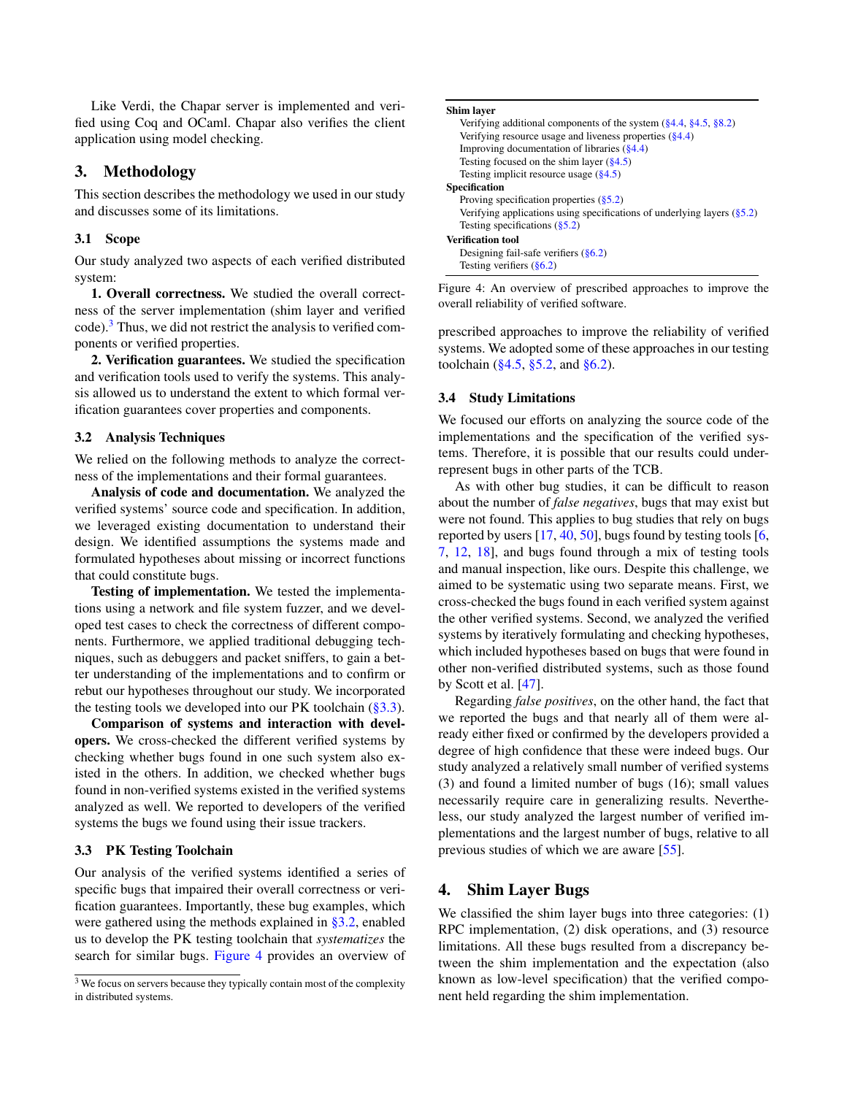Like Verdi, the Chapar server is implemented and verified using Coq and OCaml. Chapar also verifies the client application using model checking.

# <span id="page-3-0"></span>3. Methodology

This section describes the methodology we used in our study and discusses some of its limitations.

## 3.1 Scope

Our study analyzed two aspects of each verified distributed system:

1. Overall correctness. We studied the overall correctness of the server implementation (shim layer and verified code).<sup>[3](#page-3-1)</sup> Thus, we did not restrict the analysis to verified components or verified properties.

2. Verification guarantees. We studied the specification and verification tools used to verify the systems. This analysis allowed us to understand the extent to which formal verification guarantees cover properties and components.

#### <span id="page-3-3"></span>3.2 Analysis Techniques

We relied on the following methods to analyze the correctness of the implementations and their formal guarantees.

Analysis of code and documentation. We analyzed the verified systems' source code and specification. In addition, we leveraged existing documentation to understand their design. We identified assumptions the systems made and formulated hypotheses about missing or incorrect functions that could constitute bugs.

Testing of implementation. We tested the implementations using a network and file system fuzzer, and we developed test cases to check the correctness of different components. Furthermore, we applied traditional debugging techniques, such as debuggers and packet sniffers, to gain a better understanding of the implementations and to confirm or rebut our hypotheses throughout our study. We incorporated the testing tools we developed into our PK toolchain  $(\S 3.3)$ .

Comparison of systems and interaction with developers. We cross-checked the different verified systems by checking whether bugs found in one such system also existed in the others. In addition, we checked whether bugs found in non-verified systems existed in the verified systems analyzed as well. We reported to developers of the verified systems the bugs we found using their issue trackers.

## <span id="page-3-2"></span>3.3 PK Testing Toolchain

Our analysis of the verified systems identified a series of specific bugs that impaired their overall correctness or verification guarantees. Importantly, these bug examples, which were gathered using the methods explained in [§3.2,](#page-3-3) enabled us to develop the PK testing toolchain that *systematizes* the search for similar bugs. [Figure 4](#page-3-4) provides an overview of

<span id="page-3-4"></span>

| <b>Shim laver</b>                                                                    |
|--------------------------------------------------------------------------------------|
| Verifying additional components of the system $(\frac{64.4}{9.4}, \frac{64.5}{9.8})$ |
| Verifying resource usage and liveness properties $(\S 4.4)$                          |
| Improving documentation of libraries $(\frac{84.4}{)}$                               |
| Testing focused on the shim layer $(\S 4.5)$                                         |
| Testing implicit resource usage $(\S 4.5)$                                           |
| <b>Specification</b>                                                                 |
| Proving specification properties $(\S 5.2)$                                          |
| Verifying applications using specifications of underlying layers $(\S 5.2)$          |
| Testing specifications $(\S 5.2)$                                                    |
| <b>Verification tool</b>                                                             |
| Designing fail-safe verifiers $(\S6.2)$                                              |
| Testing verifiers $(\S6.2)$                                                          |

Figure 4: An overview of prescribed approaches to improve the overall reliability of verified software.

prescribed approaches to improve the reliability of verified systems. We adopted some of these approaches in our testing toolchain [\(§4.5,](#page-7-1) [§5.2,](#page-8-1) and [§6.2\)](#page-10-0).

#### 3.4 Study Limitations

We focused our efforts on analyzing the source code of the implementations and the specification of the verified systems. Therefore, it is possible that our results could underrepresent bugs in other parts of the TCB.

As with other bug studies, it can be difficult to reason about the number of *false negatives*, bugs that may exist but were not found. This applies to bug studies that rely on bugs reported by users  $[17, 40, 50]$  $[17, 40, 50]$  $[17, 40, 50]$  $[17, 40, 50]$  $[17, 40, 50]$ , bugs found by testing tools  $[6, 6]$  $[6, 6]$ [7,](#page-13-9) [12,](#page-13-10) [18\]](#page-13-11), and bugs found through a mix of testing tools and manual inspection, like ours. Despite this challenge, we aimed to be systematic using two separate means. First, we cross-checked the bugs found in each verified system against the other verified systems. Second, we analyzed the verified systems by iteratively formulating and checking hypotheses, which included hypotheses based on bugs that were found in other non-verified distributed systems, such as those found by Scott et al. [\[47\]](#page-15-5).

Regarding *false positives*, on the other hand, the fact that we reported the bugs and that nearly all of them were already either fixed or confirmed by the developers provided a degree of high confidence that these were indeed bugs. Our study analyzed a relatively small number of verified systems (3) and found a limited number of bugs (16); small values necessarily require care in generalizing results. Nevertheless, our study analyzed the largest number of verified implementations and the largest number of bugs, relative to all previous studies of which we are aware [\[55\]](#page-15-6).

# <span id="page-3-5"></span>4. Shim Layer Bugs

We classified the shim layer bugs into three categories: (1) RPC implementation, (2) disk operations, and (3) resource limitations. All these bugs resulted from a discrepancy between the shim implementation and the expectation (also known as low-level specification) that the verified component held regarding the shim implementation.

<span id="page-3-1"></span> $3$  We focus on servers because they typically contain most of the complexity in distributed systems.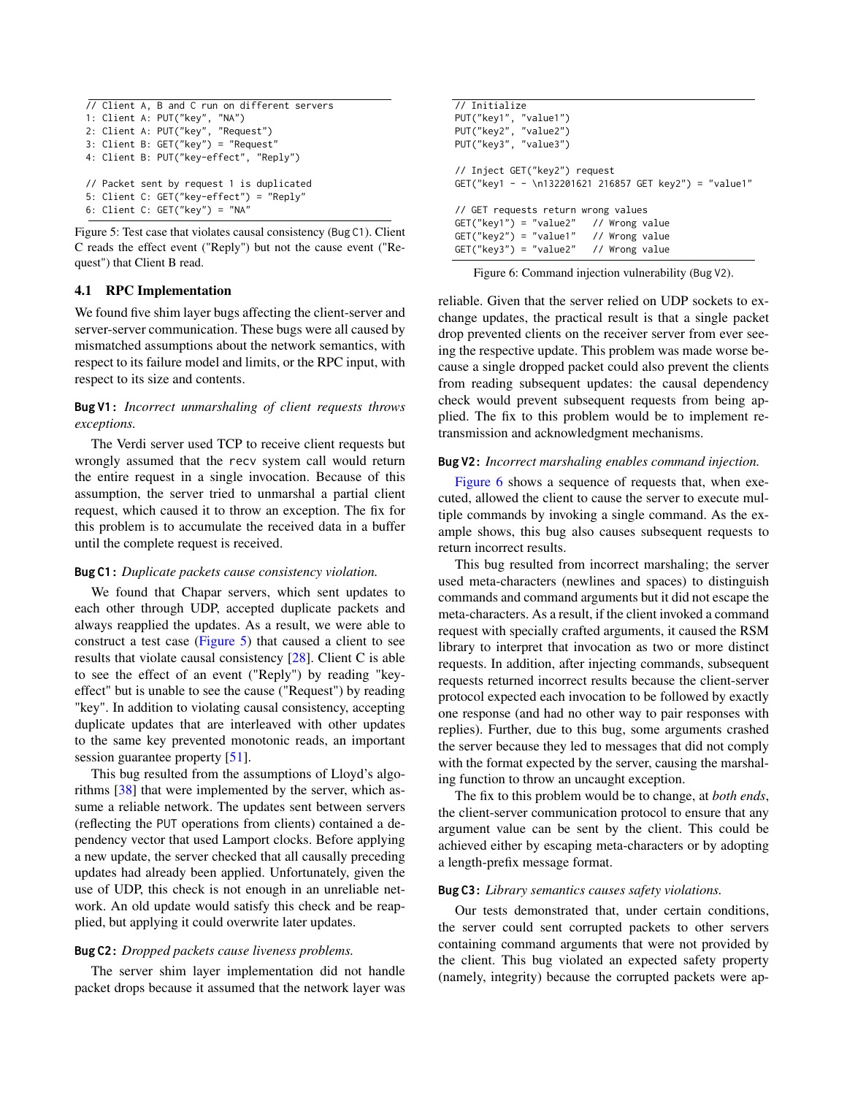```
// Client A, B and C run on different servers
1: Client A: PUT("key", "NA")
2: Client A: PUT("key", "Request")
3: Client B: GET("key") = "Request"
4: Client B: PUT("key-effect", "Reply")
// Packet sent by request 1 is duplicated
5: Client C: GET("key-effect") = "Reply"
6: Client C: GET("key") = "NA"
```
Figure 5: Test case that violates causal consistency (Bug C1). Client C reads the effect event ("Reply") but not the cause event ("Request") that Client B read.

#### 4.1 RPC Implementation

We found five shim layer bugs affecting the client-server and server-server communication. These bugs were all caused by mismatched assumptions about the network semantics, with respect to its failure model and limits, or the RPC input, with respect to its size and contents.

**Bug V1:** *Incorrect unmarshaling of client requests throws exceptions.*

The Verdi server used TCP to receive client requests but wrongly assumed that the recv system call would return the entire request in a single invocation. Because of this assumption, the server tried to unmarshal a partial client request, which caused it to throw an exception. The fix for this problem is to accumulate the received data in a buffer until the complete request is received.

#### **Bug C1:** *Duplicate packets cause consistency violation.*

We found that Chapar servers, which sent updates to each other through UDP, accepted duplicate packets and always reapplied the updates. As a result, we were able to construct a test case [\(Figure 5\)](#page-4-0) that caused a client to see results that violate causal consistency [\[28\]](#page-14-14). Client C is able to see the effect of an event ("Reply") by reading "keyeffect" but is unable to see the cause ("Request") by reading "key". In addition to violating causal consistency, accepting duplicate updates that are interleaved with other updates to the same key prevented monotonic reads, an important session guarantee property [\[51\]](#page-15-7).

This bug resulted from the assumptions of Lloyd's algorithms [\[38\]](#page-14-9) that were implemented by the server, which assume a reliable network. The updates sent between servers (reflecting the PUT operations from clients) contained a dependency vector that used Lamport clocks. Before applying a new update, the server checked that all causally preceding updates had already been applied. Unfortunately, given the use of UDP, this check is not enough in an unreliable network. An old update would satisfy this check and be reapplied, but applying it could overwrite later updates.

#### **Bug C2:** *Dropped packets cause liveness problems.*

The server shim layer implementation did not handle packet drops because it assumed that the network layer was

```
// Initialize
PUT("key1", "value1")
PUT("key2", "value2")
PUT("key3", "value3")
// Inject GET("key2") request
GET("key1 - - \n132201621 216857 GET key2") = "value1"
// GET requests return wrong values
GET("key1") = "value2" // Wrong value
GET("key2") = "value1" // Wrong value
GET("key3") = "value2" // Wrong value
```
Figure 6: Command injection vulnerability (Bug V2).

reliable. Given that the server relied on UDP sockets to exchange updates, the practical result is that a single packet drop prevented clients on the receiver server from ever seeing the respective update. This problem was made worse because a single dropped packet could also prevent the clients from reading subsequent updates: the causal dependency check would prevent subsequent requests from being applied. The fix to this problem would be to implement retransmission and acknowledgment mechanisms.

#### **Bug V2:** *Incorrect marshaling enables command injection.*

[Figure 6](#page-4-1) shows a sequence of requests that, when executed, allowed the client to cause the server to execute multiple commands by invoking a single command. As the example shows, this bug also causes subsequent requests to return incorrect results.

This bug resulted from incorrect marshaling; the server used meta-characters (newlines and spaces) to distinguish commands and command arguments but it did not escape the meta-characters. As a result, if the client invoked a command request with specially crafted arguments, it caused the RSM library to interpret that invocation as two or more distinct requests. In addition, after injecting commands, subsequent requests returned incorrect results because the client-server protocol expected each invocation to be followed by exactly one response (and had no other way to pair responses with replies). Further, due to this bug, some arguments crashed the server because they led to messages that did not comply with the format expected by the server, causing the marshaling function to throw an uncaught exception.

The fix to this problem would be to change, at *both ends*, the client-server communication protocol to ensure that any argument value can be sent by the client. This could be achieved either by escaping meta-characters or by adopting a length-prefix message format.

#### **Bug C3:** *Library semantics causes safety violations.*

Our tests demonstrated that, under certain conditions, the server could sent corrupted packets to other servers containing command arguments that were not provided by the client. This bug violated an expected safety property (namely, integrity) because the corrupted packets were ap-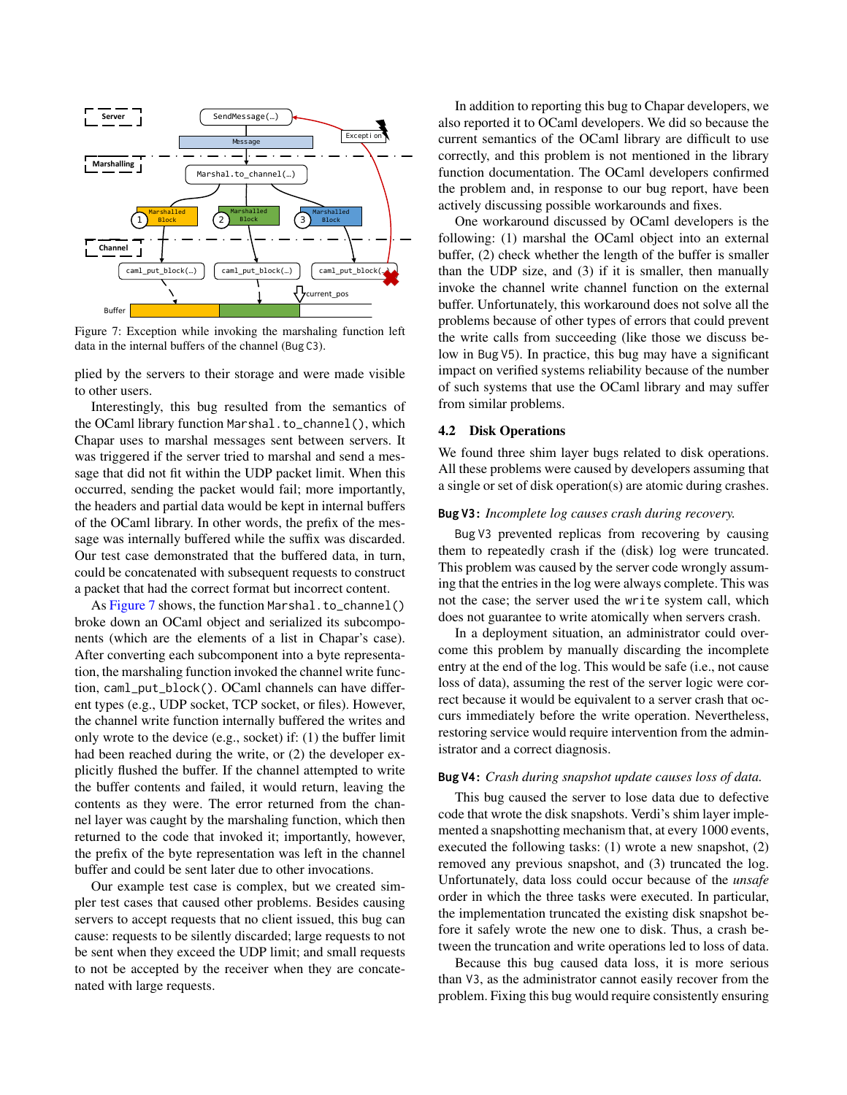<span id="page-5-0"></span>

Figure 7: Exception while invoking the marshaling function left data in the internal buffers of the channel (Bug C3).

plied by the servers to their storage and were made visible to other users.

Interestingly, this bug resulted from the semantics of the OCaml library function Marshal.to\_channel(), which Chapar uses to marshal messages sent between servers. It was triggered if the server tried to marshal and send a message that did not fit within the UDP packet limit. When this occurred, sending the packet would fail; more importantly, the headers and partial data would be kept in internal buffers of the OCaml library. In other words, the prefix of the message was internally buffered while the suffix was discarded. Our test case demonstrated that the buffered data, in turn, could be concatenated with subsequent requests to construct a packet that had the correct format but incorrect content.

As [Figure 7](#page-5-0) shows, the function Marshal.to\_channel() broke down an OCaml object and serialized its subcomponents (which are the elements of a list in Chapar's case). After converting each subcomponent into a byte representation, the marshaling function invoked the channel write function, caml\_put\_block(). OCaml channels can have different types (e.g., UDP socket, TCP socket, or files). However, the channel write function internally buffered the writes and only wrote to the device (e.g., socket) if: (1) the buffer limit had been reached during the write, or (2) the developer explicitly flushed the buffer. If the channel attempted to write the buffer contents and failed, it would return, leaving the contents as they were. The error returned from the channel layer was caught by the marshaling function, which then returned to the code that invoked it; importantly, however, the prefix of the byte representation was left in the channel buffer and could be sent later due to other invocations.

Our example test case is complex, but we created simpler test cases that caused other problems. Besides causing servers to accept requests that no client issued, this bug can cause: requests to be silently discarded; large requests to not be sent when they exceed the UDP limit; and small requests to not be accepted by the receiver when they are concatenated with large requests.

In addition to reporting this bug to Chapar developers, we also reported it to OCaml developers. We did so because the current semantics of the OCaml library are difficult to use correctly, and this problem is not mentioned in the library function documentation. The OCaml developers confirmed the problem and, in response to our bug report, have been actively discussing possible workarounds and fixes.

One workaround discussed by OCaml developers is the following: (1) marshal the OCaml object into an external buffer, (2) check whether the length of the buffer is smaller than the UDP size, and (3) if it is smaller, then manually invoke the channel write channel function on the external buffer. Unfortunately, this workaround does not solve all the problems because of other types of errors that could prevent the write calls from succeeding (like those we discuss below in Bug V5). In practice, this bug may have a significant impact on verified systems reliability because of the number of such systems that use the OCaml library and may suffer from similar problems.

#### 4.2 Disk Operations

We found three shim layer bugs related to disk operations. All these problems were caused by developers assuming that a single or set of disk operation(s) are atomic during crashes.

#### **Bug V3:** *Incomplete log causes crash during recovery.*

Bug V3 prevented replicas from recovering by causing them to repeatedly crash if the (disk) log were truncated. This problem was caused by the server code wrongly assuming that the entries in the log were always complete. This was not the case; the server used the write system call, which does not guarantee to write atomically when servers crash.

In a deployment situation, an administrator could overcome this problem by manually discarding the incomplete entry at the end of the log. This would be safe (i.e., not cause loss of data), assuming the rest of the server logic were correct because it would be equivalent to a server crash that occurs immediately before the write operation. Nevertheless, restoring service would require intervention from the administrator and a correct diagnosis.

#### **Bug V4:** *Crash during snapshot update causes loss of data.*

This bug caused the server to lose data due to defective code that wrote the disk snapshots. Verdi's shim layer implemented a snapshotting mechanism that, at every 1000 events, executed the following tasks: (1) wrote a new snapshot, (2) removed any previous snapshot, and (3) truncated the log. Unfortunately, data loss could occur because of the *unsafe* order in which the three tasks were executed. In particular, the implementation truncated the existing disk snapshot before it safely wrote the new one to disk. Thus, a crash between the truncation and write operations led to loss of data.

Because this bug caused data loss, it is more serious than V3, as the administrator cannot easily recover from the problem. Fixing this bug would require consistently ensuring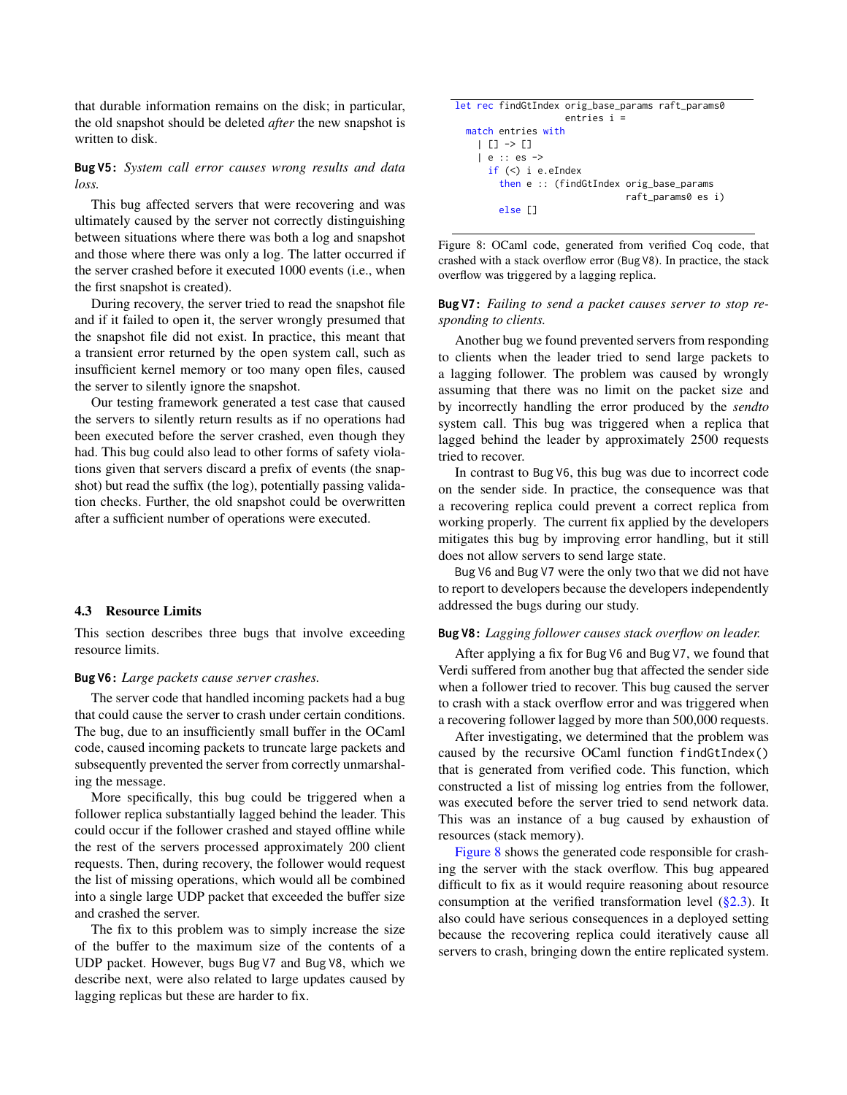that durable information remains on the disk; in particular, the old snapshot should be deleted *after* the new snapshot is written to disk.

# **Bug V5:** *System call error causes wrong results and data loss.*

This bug affected servers that were recovering and was ultimately caused by the server not correctly distinguishing between situations where there was both a log and snapshot and those where there was only a log. The latter occurred if the server crashed before it executed 1000 events (i.e., when the first snapshot is created).

During recovery, the server tried to read the snapshot file and if it failed to open it, the server wrongly presumed that the snapshot file did not exist. In practice, this meant that a transient error returned by the open system call, such as insufficient kernel memory or too many open files, caused the server to silently ignore the snapshot.

Our testing framework generated a test case that caused the servers to silently return results as if no operations had been executed before the server crashed, even though they had. This bug could also lead to other forms of safety violations given that servers discard a prefix of events (the snapshot) but read the suffix (the log), potentially passing validation checks. Further, the old snapshot could be overwritten after a sufficient number of operations were executed.

#### 4.3 Resource Limits

This section describes three bugs that involve exceeding resource limits.

#### **Bug V6:** *Large packets cause server crashes.*

The server code that handled incoming packets had a bug that could cause the server to crash under certain conditions. The bug, due to an insufficiently small buffer in the OCaml code, caused incoming packets to truncate large packets and subsequently prevented the server from correctly unmarshaling the message.

More specifically, this bug could be triggered when a follower replica substantially lagged behind the leader. This could occur if the follower crashed and stayed offline while the rest of the servers processed approximately 200 client requests. Then, during recovery, the follower would request the list of missing operations, which would all be combined into a single large UDP packet that exceeded the buffer size and crashed the server.

The fix to this problem was to simply increase the size of the buffer to the maximum size of the contents of a UDP packet. However, bugs Bug V7 and Bug V8, which we describe next, were also related to large updates caused by lagging replicas but these are harder to fix.

<span id="page-6-0"></span>

| let rec findGtIndex orig_base_params raft_params0 |
|---------------------------------------------------|
| entries $i =$                                     |
| match entries with                                |
| [] -> []                                          |
| $  e : : es ->$                                   |
| if $(\le)$ i e.eIndex                             |
| then e :: (findGtIndex orig_base_params           |
| raft_params0 es i)                                |
| $else$ $\Box$                                     |

Figure 8: OCaml code, generated from verified Coq code, that crashed with a stack overflow error (Bug V8). In practice, the stack overflow was triggered by a lagging replica.

## **Bug V7:** *Failing to send a packet causes server to stop responding to clients.*

Another bug we found prevented servers from responding to clients when the leader tried to send large packets to a lagging follower. The problem was caused by wrongly assuming that there was no limit on the packet size and by incorrectly handling the error produced by the *sendto* system call. This bug was triggered when a replica that lagged behind the leader by approximately 2500 requests tried to recover.

In contrast to Bug V6, this bug was due to incorrect code on the sender side. In practice, the consequence was that a recovering replica could prevent a correct replica from working properly. The current fix applied by the developers mitigates this bug by improving error handling, but it still does not allow servers to send large state.

Bug V6 and Bug V7 were the only two that we did not have to report to developers because the developers independently addressed the bugs during our study.

#### **Bug V8:** *Lagging follower causes stack overflow on leader.*

After applying a fix for Bug V6 and Bug V7, we found that Verdi suffered from another bug that affected the sender side when a follower tried to recover. This bug caused the server to crash with a stack overflow error and was triggered when a recovering follower lagged by more than 500,000 requests.

After investigating, we determined that the problem was caused by the recursive OCaml function findGtIndex() that is generated from verified code. This function, which constructed a list of missing log entries from the follower, was executed before the server tried to send network data. This was an instance of a bug caused by exhaustion of resources (stack memory).

[Figure 8](#page-6-0) shows the generated code responsible for crashing the server with the stack overflow. This bug appeared difficult to fix as it would require reasoning about resource consumption at the verified transformation level [\(§2.3\)](#page-2-2). It also could have serious consequences in a deployed setting because the recovering replica could iteratively cause all servers to crash, bringing down the entire replicated system.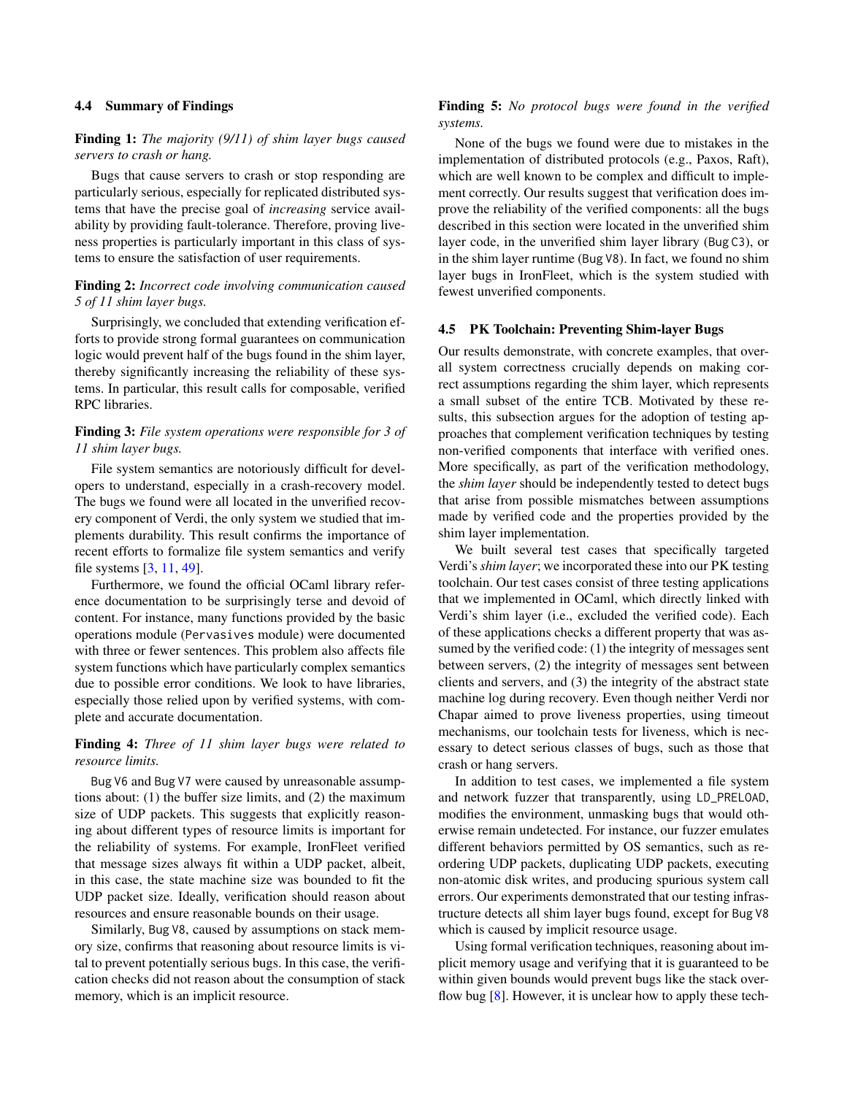## <span id="page-7-0"></span>4.4 Summary of Findings

## Finding 1: *The majority (9/11) of shim layer bugs caused servers to crash or hang.*

Bugs that cause servers to crash or stop responding are particularly serious, especially for replicated distributed systems that have the precise goal of *increasing* service availability by providing fault-tolerance. Therefore, proving liveness properties is particularly important in this class of systems to ensure the satisfaction of user requirements.

#### Finding 2: *Incorrect code involving communication caused 5 of 11 shim layer bugs.*

Surprisingly, we concluded that extending verification efforts to provide strong formal guarantees on communication logic would prevent half of the bugs found in the shim layer, thereby significantly increasing the reliability of these systems. In particular, this result calls for composable, verified RPC libraries.

## Finding 3: *File system operations were responsible for 3 of 11 shim layer bugs.*

File system semantics are notoriously difficult for developers to understand, especially in a crash-recovery model. The bugs we found were all located in the unverified recovery component of Verdi, the only system we studied that implements durability. This result confirms the importance of recent efforts to formalize file system semantics and verify file systems [\[3,](#page-13-12) [11,](#page-13-13) [49\]](#page-15-8).

Furthermore, we found the official OCaml library reference documentation to be surprisingly terse and devoid of content. For instance, many functions provided by the basic operations module (Pervasives module) were documented with three or fewer sentences. This problem also affects file system functions which have particularly complex semantics due to possible error conditions. We look to have libraries, especially those relied upon by verified systems, with complete and accurate documentation.

## Finding 4: *Three of 11 shim layer bugs were related to resource limits.*

Bug V6 and Bug V7 were caused by unreasonable assumptions about: (1) the buffer size limits, and (2) the maximum size of UDP packets. This suggests that explicitly reasoning about different types of resource limits is important for the reliability of systems. For example, IronFleet verified that message sizes always fit within a UDP packet, albeit, in this case, the state machine size was bounded to fit the UDP packet size. Ideally, verification should reason about resources and ensure reasonable bounds on their usage.

Similarly, Bug V8, caused by assumptions on stack memory size, confirms that reasoning about resource limits is vital to prevent potentially serious bugs. In this case, the verification checks did not reason about the consumption of stack memory, which is an implicit resource.

## Finding 5: *No protocol bugs were found in the verified systems.*

None of the bugs we found were due to mistakes in the implementation of distributed protocols (e.g., Paxos, Raft), which are well known to be complex and difficult to implement correctly. Our results suggest that verification does improve the reliability of the verified components: all the bugs described in this section were located in the unverified shim layer code, in the unverified shim layer library (Bug C3), or in the shim layer runtime (Bug V8). In fact, we found no shim layer bugs in IronFleet, which is the system studied with fewest unverified components.

#### <span id="page-7-1"></span>4.5 PK Toolchain: Preventing Shim-layer Bugs

Our results demonstrate, with concrete examples, that overall system correctness crucially depends on making correct assumptions regarding the shim layer, which represents a small subset of the entire TCB. Motivated by these results, this subsection argues for the adoption of testing approaches that complement verification techniques by testing non-verified components that interface with verified ones. More specifically, as part of the verification methodology, the *shim layer* should be independently tested to detect bugs that arise from possible mismatches between assumptions made by verified code and the properties provided by the shim layer implementation.

We built several test cases that specifically targeted Verdi's*shim layer*; we incorporated these into our PK testing toolchain. Our test cases consist of three testing applications that we implemented in OCaml, which directly linked with Verdi's shim layer (i.e., excluded the verified code). Each of these applications checks a different property that was assumed by the verified code: (1) the integrity of messages sent between servers, (2) the integrity of messages sent between clients and servers, and (3) the integrity of the abstract state machine log during recovery. Even though neither Verdi nor Chapar aimed to prove liveness properties, using timeout mechanisms, our toolchain tests for liveness, which is necessary to detect serious classes of bugs, such as those that crash or hang servers.

In addition to test cases, we implemented a file system and network fuzzer that transparently, using LD\_PRELOAD, modifies the environment, unmasking bugs that would otherwise remain undetected. For instance, our fuzzer emulates different behaviors permitted by OS semantics, such as reordering UDP packets, duplicating UDP packets, executing non-atomic disk writes, and producing spurious system call errors. Our experiments demonstrated that our testing infrastructure detects all shim layer bugs found, except for Bug V8 which is caused by implicit resource usage.

Using formal verification techniques, reasoning about implicit memory usage and verifying that it is guaranteed to be within given bounds would prevent bugs like the stack over-flow bug [\[8\]](#page-13-14). However, it is unclear how to apply these tech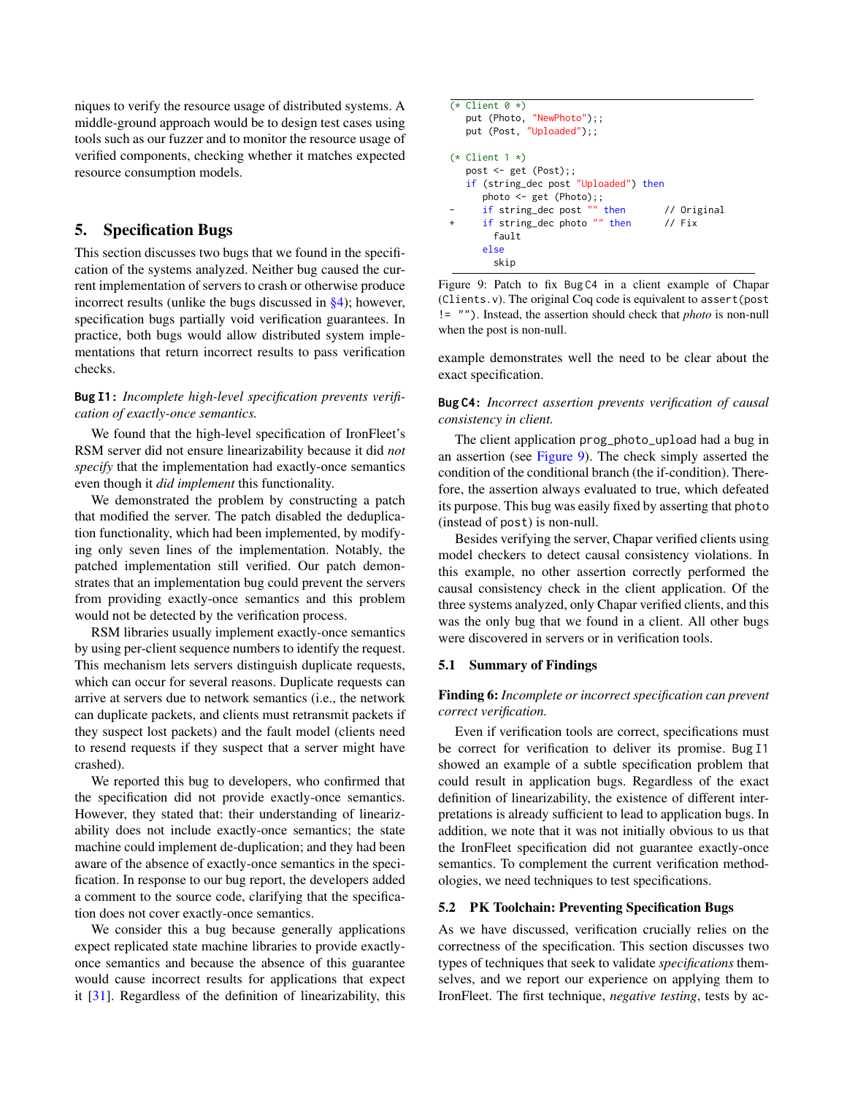niques to verify the resource usage of distributed systems. A middle-ground approach would be to design test cases using tools such as our fuzzer and to monitor the resource usage of verified components, checking whether it matches expected resource consumption models.

# <span id="page-8-0"></span>5. Specification Bugs

This section discusses two bugs that we found in the specification of the systems analyzed. Neither bug caused the current implementation of servers to crash or otherwise produce incorrect results (unlike the bugs discussed in  $\S$ 4); however, specification bugs partially void verification guarantees. In practice, both bugs would allow distributed system implementations that return incorrect results to pass verification checks.

### **Bug I1:** *Incomplete high-level specification prevents verification of exactly-once semantics.*

We found that the high-level specification of IronFleet's RSM server did not ensure linearizability because it did *not specify* that the implementation had exactly-once semantics even though it *did implement* this functionality.

We demonstrated the problem by constructing a patch that modified the server. The patch disabled the deduplication functionality, which had been implemented, by modifying only seven lines of the implementation. Notably, the patched implementation still verified. Our patch demonstrates that an implementation bug could prevent the servers from providing exactly-once semantics and this problem would not be detected by the verification process.

RSM libraries usually implement exactly-once semantics by using per-client sequence numbers to identify the request. This mechanism lets servers distinguish duplicate requests, which can occur for several reasons. Duplicate requests can arrive at servers due to network semantics (i.e., the network can duplicate packets, and clients must retransmit packets if they suspect lost packets) and the fault model (clients need to resend requests if they suspect that a server might have crashed).

We reported this bug to developers, who confirmed that the specification did not provide exactly-once semantics. However, they stated that: their understanding of linearizability does not include exactly-once semantics; the state machine could implement de-duplication; and they had been aware of the absence of exactly-once semantics in the specification. In response to our bug report, the developers added a comment to the source code, clarifying that the specification does not cover exactly-once semantics.

We consider this a bug because generally applications expect replicated state machine libraries to provide exactlyonce semantics and because the absence of this guarantee would cause incorrect results for applications that expect it [\[31\]](#page-14-13). Regardless of the definition of linearizability, this

```
\overline{(*)} Client 0 *)put (Photo, "NewPhoto");;
   put (Post, "Uploaded");;
(* Client 1 *)
   post <- get (Post);;
   if (string_dec post "Uploaded") then
      photo <- get (Photo);;
      if string_dec post "" then // Original
      if string_dec photo "" then // Fix
        fault
      else
        skip
```
Figure 9: Patch to fix Bug C4 in a client example of Chapar (Clients.v). The original Coq code is equivalent to assert(post != ""). Instead, the assertion should check that *photo* is non-null when the post is non-null.

example demonstrates well the need to be clear about the exact specification.

# **Bug C4:** *Incorrect assertion prevents verification of causal consistency in client.*

The client application prog\_photo\_upload had a bug in an assertion (see [Figure 9\)](#page-8-2). The check simply asserted the condition of the conditional branch (the if-condition). Therefore, the assertion always evaluated to true, which defeated its purpose. This bug was easily fixed by asserting that photo (instead of post) is non-null.

Besides verifying the server, Chapar verified clients using model checkers to detect causal consistency violations. In this example, no other assertion correctly performed the causal consistency check in the client application. Of the three systems analyzed, only Chapar verified clients, and this was the only bug that we found in a client. All other bugs were discovered in servers or in verification tools.

## 5.1 Summary of Findings

## Finding 6: *Incomplete or incorrect specification can prevent correct verification.*

Even if verification tools are correct, specifications must be correct for verification to deliver its promise. Bug I1 showed an example of a subtle specification problem that could result in application bugs. Regardless of the exact definition of linearizability, the existence of different interpretations is already sufficient to lead to application bugs. In addition, we note that it was not initially obvious to us that the IronFleet specification did not guarantee exactly-once semantics. To complement the current verification methodologies, we need techniques to test specifications.

#### <span id="page-8-1"></span>5.2 PK Toolchain: Preventing Specification Bugs

As we have discussed, verification crucially relies on the correctness of the specification. This section discusses two types of techniques that seek to validate *specifications* themselves, and we report our experience on applying them to IronFleet. The first technique, *negative testing*, tests by ac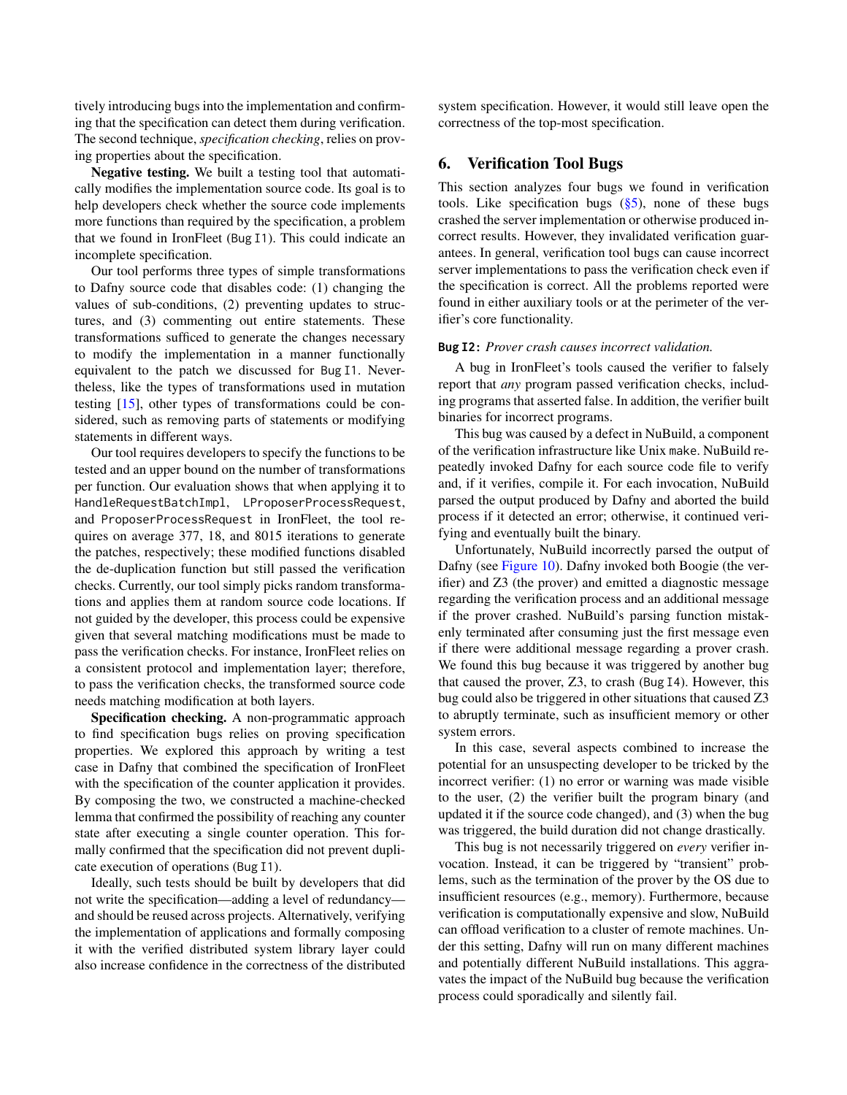tively introducing bugs into the implementation and confirming that the specification can detect them during verification. The second technique, *specification checking*, relies on proving properties about the specification.

Negative testing. We built a testing tool that automatically modifies the implementation source code. Its goal is to help developers check whether the source code implements more functions than required by the specification, a problem that we found in IronFleet (Bug I1). This could indicate an incomplete specification.

Our tool performs three types of simple transformations to Dafny source code that disables code: (1) changing the values of sub-conditions, (2) preventing updates to structures, and (3) commenting out entire statements. These transformations sufficed to generate the changes necessary to modify the implementation in a manner functionally equivalent to the patch we discussed for Bug I1. Nevertheless, like the types of transformations used in mutation testing [\[15\]](#page-13-15), other types of transformations could be considered, such as removing parts of statements or modifying statements in different ways.

Our tool requires developers to specify the functions to be tested and an upper bound on the number of transformations per function. Our evaluation shows that when applying it to HandleRequestBatchImpl, LProposerProcessRequest, and ProposerProcessRequest in IronFleet, the tool requires on average 377, 18, and 8015 iterations to generate the patches, respectively; these modified functions disabled the de-duplication function but still passed the verification checks. Currently, our tool simply picks random transformations and applies them at random source code locations. If not guided by the developer, this process could be expensive given that several matching modifications must be made to pass the verification checks. For instance, IronFleet relies on a consistent protocol and implementation layer; therefore, to pass the verification checks, the transformed source code needs matching modification at both layers.

Specification checking. A non-programmatic approach to find specification bugs relies on proving specification properties. We explored this approach by writing a test case in Dafny that combined the specification of IronFleet with the specification of the counter application it provides. By composing the two, we constructed a machine-checked lemma that confirmed the possibility of reaching any counter state after executing a single counter operation. This formally confirmed that the specification did not prevent duplicate execution of operations (Bug I1).

Ideally, such tests should be built by developers that did not write the specification—adding a level of redundancy and should be reused across projects. Alternatively, verifying the implementation of applications and formally composing it with the verified distributed system library layer could also increase confidence in the correctness of the distributed

system specification. However, it would still leave open the correctness of the top-most specification.

# 6. Verification Tool Bugs

This section analyzes four bugs we found in verification tools. Like specification bugs  $(\frac{8}{5})$ , none of these bugs crashed the server implementation or otherwise produced incorrect results. However, they invalidated verification guarantees. In general, verification tool bugs can cause incorrect server implementations to pass the verification check even if the specification is correct. All the problems reported were found in either auxiliary tools or at the perimeter of the verifier's core functionality.

#### **Bug I2:** *Prover crash causes incorrect validation.*

A bug in IronFleet's tools caused the verifier to falsely report that *any* program passed verification checks, including programs that asserted false. In addition, the verifier built binaries for incorrect programs.

This bug was caused by a defect in NuBuild, a component of the verification infrastructure like Unix make. NuBuild repeatedly invoked Dafny for each source code file to verify and, if it verifies, compile it. For each invocation, NuBuild parsed the output produced by Dafny and aborted the build process if it detected an error; otherwise, it continued verifying and eventually built the binary.

Unfortunately, NuBuild incorrectly parsed the output of Dafny (see [Figure 10\)](#page-10-1). Dafny invoked both Boogie (the verifier) and Z3 (the prover) and emitted a diagnostic message regarding the verification process and an additional message if the prover crashed. NuBuild's parsing function mistakenly terminated after consuming just the first message even if there were additional message regarding a prover crash. We found this bug because it was triggered by another bug that caused the prover, Z3, to crash (Bug I4). However, this bug could also be triggered in other situations that caused Z3 to abruptly terminate, such as insufficient memory or other system errors.

In this case, several aspects combined to increase the potential for an unsuspecting developer to be tricked by the incorrect verifier: (1) no error or warning was made visible to the user, (2) the verifier built the program binary (and updated it if the source code changed), and (3) when the bug was triggered, the build duration did not change drastically.

This bug is not necessarily triggered on *every* verifier invocation. Instead, it can be triggered by "transient" problems, such as the termination of the prover by the OS due to insufficient resources (e.g., memory). Furthermore, because verification is computationally expensive and slow, NuBuild can offload verification to a cluster of remote machines. Under this setting, Dafny will run on many different machines and potentially different NuBuild installations. This aggravates the impact of the NuBuild bug because the verification process could sporadically and silently fail.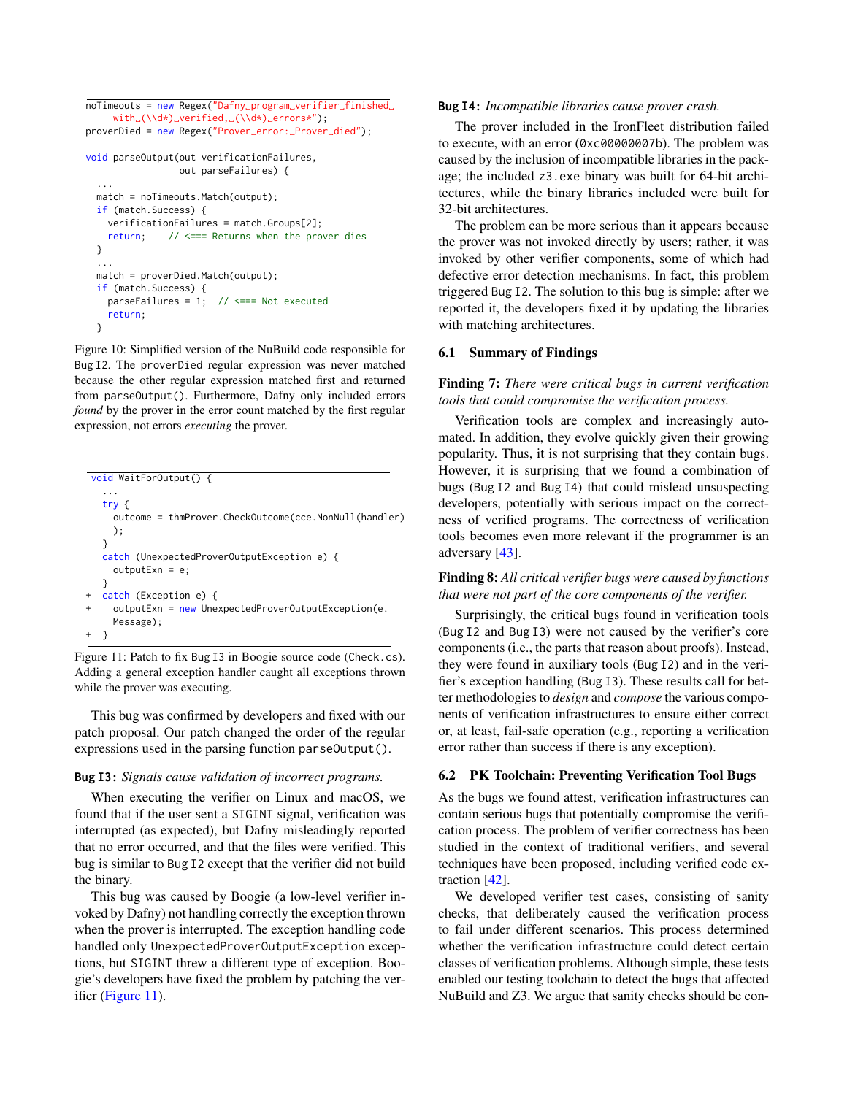```
noTimeouts = new Regex("Dafny␣program␣verifier␣finished␣
     with␣(\\d*)␣verified,␣(\\d*)␣errors*");
proverDied = new Regex("Prover␣error:␣Prover␣died");
void parseOutput(out verificationFailures,
                 out parseFailures) {
  ...
  match = noTimeouts.Match(output);
  if (match.Success) {
    verificationFailures = match.Groups[2];
    return; // <=== Returns when the prover dies
  }
  ...
  match = proverDied.Match(output);
  if (match.Success) {
    parseFailures = 1; // <=== Not executed
    return;
  }
```
Figure 10: Simplified version of the NuBuild code responsible for Bug I2. The proverDied regular expression was never matched because the other regular expression matched first and returned from parseOutput(). Furthermore, Dafny only included errors *found* by the prover in the error count matched by the first regular expression, not errors *executing* the prover.

```
void WaitForOutput() {
   ...
   try {
     outcome = thmProver.CheckOutcome(cce.NonNull(handler)
     );
   }
   catch (UnexpectedProverOutputException e) {
    outputExn = e;
   }
+ catch (Exception e) {
     outputExn = new UnexpectedProverOutputException(e.
     Message);
+ }
```
Figure 11: Patch to fix Bug I3 in Boogie source code (Check.cs). Adding a general exception handler caught all exceptions thrown while the prover was executing.

This bug was confirmed by developers and fixed with our patch proposal. Our patch changed the order of the regular expressions used in the parsing function parseOutput().

# **Bug I3:** *Signals cause validation of incorrect programs.*

When executing the verifier on Linux and macOS, we found that if the user sent a SIGINT signal, verification was interrupted (as expected), but Dafny misleadingly reported that no error occurred, and that the files were verified. This bug is similar to Bug I2 except that the verifier did not build the binary.

This bug was caused by Boogie (a low-level verifier invoked by Dafny) not handling correctly the exception thrown when the prover is interrupted. The exception handling code handled only UnexpectedProverOutputException exceptions, but SIGINT threw a different type of exception. Boogie's developers have fixed the problem by patching the verifier [\(Figure 11\)](#page-10-2).

#### **Bug I4:** *Incompatible libraries cause prover crash.*

The prover included in the IronFleet distribution failed to execute, with an error (0xc00000007b). The problem was caused by the inclusion of incompatible libraries in the package; the included z3.exe binary was built for 64-bit architectures, while the binary libraries included were built for 32-bit architectures.

The problem can be more serious than it appears because the prover was not invoked directly by users; rather, it was invoked by other verifier components, some of which had defective error detection mechanisms. In fact, this problem triggered Bug I2. The solution to this bug is simple: after we reported it, the developers fixed it by updating the libraries with matching architectures.

#### 6.1 Summary of Findings

Finding 7: *There were critical bugs in current verification tools that could compromise the verification process.*

Verification tools are complex and increasingly automated. In addition, they evolve quickly given their growing popularity. Thus, it is not surprising that they contain bugs. However, it is surprising that we found a combination of bugs (Bug I2 and Bug I4) that could mislead unsuspecting developers, potentially with serious impact on the correctness of verified programs. The correctness of verification tools becomes even more relevant if the programmer is an adversary [\[43\]](#page-14-19).

# Finding 8: *All critical verifier bugs were caused by functions that were not part of the core components of the verifier.*

Surprisingly, the critical bugs found in verification tools (Bug I2 and Bug I3) were not caused by the verifier's core components (i.e., the parts that reason about proofs). Instead, they were found in auxiliary tools (Bug I2) and in the verifier's exception handling (Bug I3). These results call for better methodologies to *design* and *compose* the various components of verification infrastructures to ensure either correct or, at least, fail-safe operation (e.g., reporting a verification error rather than success if there is any exception).

#### <span id="page-10-0"></span>6.2 PK Toolchain: Preventing Verification Tool Bugs

As the bugs we found attest, verification infrastructures can contain serious bugs that potentially compromise the verification process. The problem of verifier correctness has been studied in the context of traditional verifiers, and several techniques have been proposed, including verified code extraction [\[42\]](#page-14-20).

We developed verifier test cases, consisting of sanity checks, that deliberately caused the verification process to fail under different scenarios. This process determined whether the verification infrastructure could detect certain classes of verification problems. Although simple, these tests enabled our testing toolchain to detect the bugs that affected NuBuild and Z3. We argue that sanity checks should be con-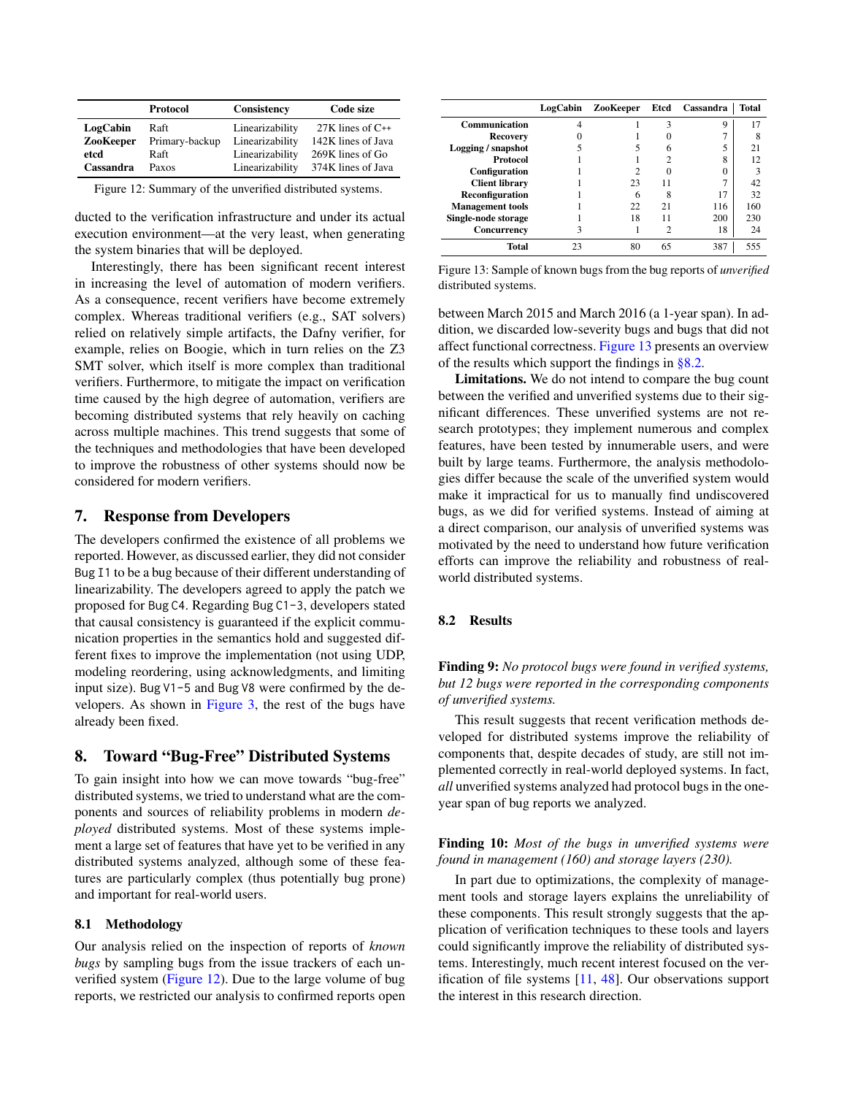<span id="page-11-1"></span>

|           | Protocol       | Consistency     | Code size          |
|-----------|----------------|-----------------|--------------------|
| LogCabin  | Raft           | Linearizability | 27K lines of C++   |
| ZooKeeper | Primary-backup | Linearizability | 142K lines of Java |
| etcd      | Raft           | Linearizability | 269K lines of Go   |
| Cassandra | Paxos          | Linearizability | 374K lines of Java |

Figure 12: Summary of the unverified distributed systems.

ducted to the verification infrastructure and under its actual execution environment—at the very least, when generating the system binaries that will be deployed.

Interestingly, there has been significant recent interest in increasing the level of automation of modern verifiers. As a consequence, recent verifiers have become extremely complex. Whereas traditional verifiers (e.g., SAT solvers) relied on relatively simple artifacts, the Dafny verifier, for example, relies on Boogie, which in turn relies on the Z3 SMT solver, which itself is more complex than traditional verifiers. Furthermore, to mitigate the impact on verification time caused by the high degree of automation, verifiers are becoming distributed systems that rely heavily on caching across multiple machines. This trend suggests that some of the techniques and methodologies that have been developed to improve the robustness of other systems should now be considered for modern verifiers.

# 7. Response from Developers

The developers confirmed the existence of all problems we reported. However, as discussed earlier, they did not consider Bug I1 to be a bug because of their different understanding of linearizability. The developers agreed to apply the patch we proposed for Bug C4. Regarding Bug C1-3, developers stated that causal consistency is guaranteed if the explicit communication properties in the semantics hold and suggested different fixes to improve the implementation (not using UDP, modeling reordering, using acknowledgments, and limiting input size). Bug V1-5 and Bug V8 were confirmed by the developers. As shown in [Figure 3,](#page-2-3) the rest of the bugs have already been fixed.

## 8. Toward "Bug-Free" Distributed Systems

To gain insight into how we can move towards "bug-free" distributed systems, we tried to understand what are the components and sources of reliability problems in modern *deployed* distributed systems. Most of these systems implement a large set of features that have yet to be verified in any distributed systems analyzed, although some of these features are particularly complex (thus potentially bug prone) and important for real-world users.

### 8.1 Methodology

Our analysis relied on the inspection of reports of *known bugs* by sampling bugs from the issue trackers of each unverified system [\(Figure 12\)](#page-11-1). Due to the large volume of bug reports, we restricted our analysis to confirmed reports open

<span id="page-11-2"></span>

|                         | LogCabin | ZooKeeper | Etcd           | Cassandra | <b>Total</b> |
|-------------------------|----------|-----------|----------------|-----------|--------------|
| <b>Communication</b>    |          |           | 3              | Q         | 17           |
| Recovery                |          |           |                |           | 8            |
| Logging / snapshot      |          |           | 6              |           | 21           |
| <b>Protocol</b>         |          |           | າ              | 8         | 12           |
| <b>Configuration</b>    |          | っ         |                |           | ٩            |
| <b>Client library</b>   |          | 23        |                |           | 42           |
| Reconfiguration         |          | 6         | 8              | 17        | 32           |
| <b>Management</b> tools |          | 22        | 21             | 116       | 160          |
| Single-node storage     |          | 18        | 11             | 200       | 230          |
| Concurrency             |          |           | $\mathfrak{D}$ | 18        | 24           |
| Total                   | つっ       | 80        | 65             | 387       | 555          |

Figure 13: Sample of known bugs from the bug reports of *unverified* distributed systems.

between March 2015 and March 2016 (a 1-year span). In addition, we discarded low-severity bugs and bugs that did not affect functional correctness. [Figure 13](#page-11-2) presents an overview of the results which support the findings in [§8.2.](#page-11-0)

Limitations. We do not intend to compare the bug count between the verified and unverified systems due to their significant differences. These unverified systems are not research prototypes; they implement numerous and complex features, have been tested by innumerable users, and were built by large teams. Furthermore, the analysis methodologies differ because the scale of the unverified system would make it impractical for us to manually find undiscovered bugs, as we did for verified systems. Instead of aiming at a direct comparison, our analysis of unverified systems was motivated by the need to understand how future verification efforts can improve the reliability and robustness of realworld distributed systems.

#### <span id="page-11-0"></span>8.2 Results

Finding 9: *No protocol bugs were found in verified systems, but 12 bugs were reported in the corresponding components of unverified systems.*

This result suggests that recent verification methods developed for distributed systems improve the reliability of components that, despite decades of study, are still not implemented correctly in real-world deployed systems. In fact, *all* unverified systems analyzed had protocol bugs in the oneyear span of bug reports we analyzed.

# Finding 10: *Most of the bugs in unverified systems were found in management (160) and storage layers (230).*

In part due to optimizations, the complexity of management tools and storage layers explains the unreliability of these components. This result strongly suggests that the application of verification techniques to these tools and layers could significantly improve the reliability of distributed systems. Interestingly, much recent interest focused on the verification of file systems [\[11,](#page-13-13) [48\]](#page-15-9). Our observations support the interest in this research direction.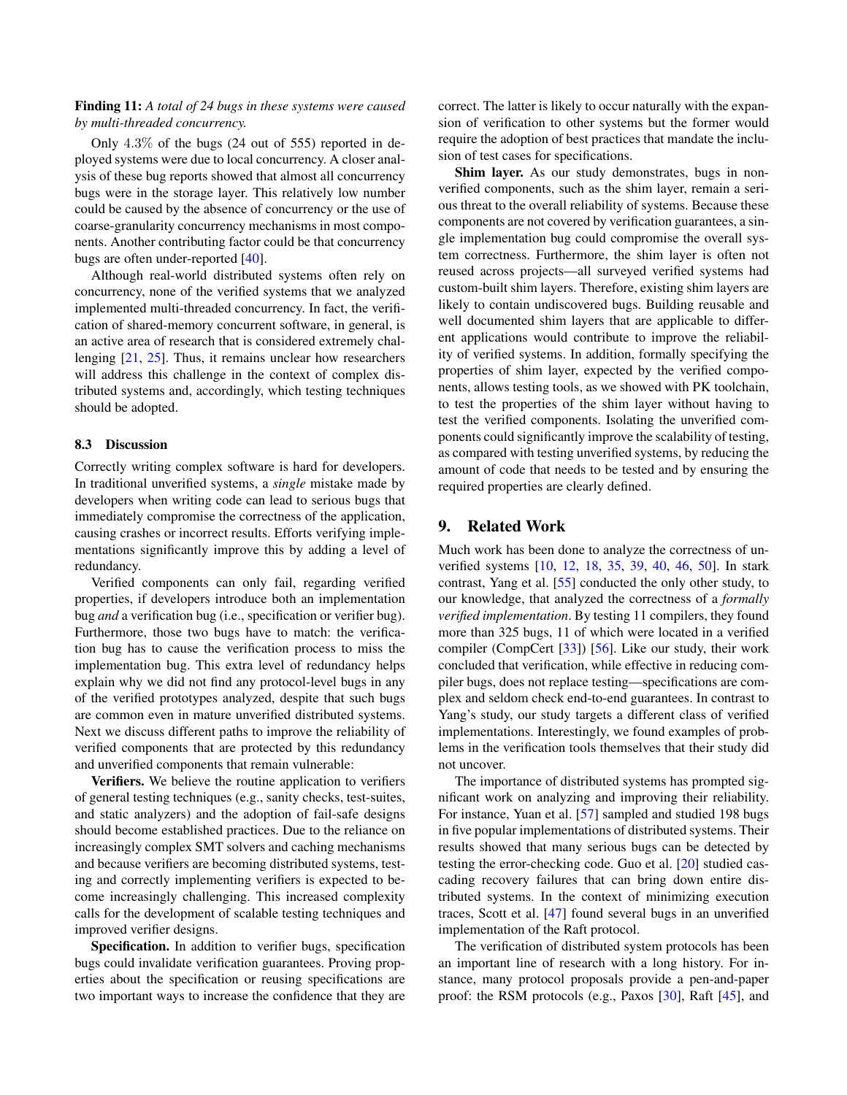## Finding 11: *A total of 24 bugs in these systems were caused by multi-threaded concurrency.*

Only 4.3% of the bugs (24 out of 555) reported in deployed systems were due to local concurrency. A closer analysis of these bug reports showed that almost all concurrency bugs were in the storage layer. This relatively low number could be caused by the absence of concurrency or the use of coarse-granularity concurrency mechanisms in most components. Another contributing factor could be that concurrency bugs are often under-reported [\[40\]](#page-14-18).

Although real-world distributed systems often rely on concurrency, none of the verified systems that we analyzed implemented multi-threaded concurrency. In fact, the verification of shared-memory concurrent software, in general, is an active area of research that is considered extremely challenging [\[21,](#page-14-21) [25\]](#page-14-22). Thus, it remains unclear how researchers will address this challenge in the context of complex distributed systems and, accordingly, which testing techniques should be adopted.

#### 8.3 Discussion

Correctly writing complex software is hard for developers. In traditional unverified systems, a *single* mistake made by developers when writing code can lead to serious bugs that immediately compromise the correctness of the application, causing crashes or incorrect results. Efforts verifying implementations significantly improve this by adding a level of redundancy.

Verified components can only fail, regarding verified properties, if developers introduce both an implementation bug *and* a verification bug (i.e., specification or verifier bug). Furthermore, those two bugs have to match: the verification bug has to cause the verification process to miss the implementation bug. This extra level of redundancy helps explain why we did not find any protocol-level bugs in any of the verified prototypes analyzed, despite that such bugs are common even in mature unverified distributed systems. Next we discuss different paths to improve the reliability of verified components that are protected by this redundancy and unverified components that remain vulnerable:

Verifiers. We believe the routine application to verifiers of general testing techniques (e.g., sanity checks, test-suites, and static analyzers) and the adoption of fail-safe designs should become established practices. Due to the reliance on increasingly complex SMT solvers and caching mechanisms and because verifiers are becoming distributed systems, testing and correctly implementing verifiers is expected to become increasingly challenging. This increased complexity calls for the development of scalable testing techniques and improved verifier designs.

Specification. In addition to verifier bugs, specification bugs could invalidate verification guarantees. Proving properties about the specification or reusing specifications are two important ways to increase the confidence that they are

correct. The latter is likely to occur naturally with the expansion of verification to other systems but the former would require the adoption of best practices that mandate the inclusion of test cases for specifications.

Shim layer. As our study demonstrates, bugs in nonverified components, such as the shim layer, remain a serious threat to the overall reliability of systems. Because these components are not covered by verification guarantees, a single implementation bug could compromise the overall system correctness. Furthermore, the shim layer is often not reused across projects—all surveyed verified systems had custom-built shim layers. Therefore, existing shim layers are likely to contain undiscovered bugs. Building reusable and well documented shim layers that are applicable to different applications would contribute to improve the reliability of verified systems. In addition, formally specifying the properties of shim layer, expected by the verified components, allows testing tools, as we showed with PK toolchain, to test the properties of the shim layer without having to test the verified components. Isolating the unverified components could significantly improve the scalability of testing, as compared with testing unverified systems, by reducing the amount of code that needs to be tested and by ensuring the required properties are clearly defined.

## 9. Related Work

Much work has been done to analyze the correctness of unverified systems [\[10,](#page-13-16) [12,](#page-13-10) [18,](#page-13-11) [35,](#page-14-23) [39,](#page-14-24) [40,](#page-14-18) [46,](#page-14-25) [50\]](#page-15-4). In stark contrast, Yang et al. [\[55\]](#page-15-6) conducted the only other study, to our knowledge, that analyzed the correctness of a *formally verified implementation*. By testing 11 compilers, they found more than 325 bugs, 11 of which were located in a verified compiler (CompCert [\[33\]](#page-14-8)) [\[56\]](#page-15-10). Like our study, their work concluded that verification, while effective in reducing compiler bugs, does not replace testing—specifications are complex and seldom check end-to-end guarantees. In contrast to Yang's study, our study targets a different class of verified implementations. Interestingly, we found examples of problems in the verification tools themselves that their study did not uncover.

The importance of distributed systems has prompted significant work on analyzing and improving their reliability. For instance, Yuan et al. [\[57\]](#page-15-0) sampled and studied 198 bugs in five popular implementations of distributed systems. Their results showed that many serious bugs can be detected by testing the error-checking code. Guo et al. [\[20\]](#page-14-26) studied cascading recovery failures that can bring down entire distributed systems. In the context of minimizing execution traces, Scott et al. [\[47\]](#page-15-5) found several bugs in an unverified implementation of the Raft protocol.

The verification of distributed system protocols has been an important line of research with a long history. For instance, many protocol proposals provide a pen-and-paper proof: the RSM protocols (e.g., Paxos [\[30\]](#page-14-10), Raft [\[45\]](#page-14-11), and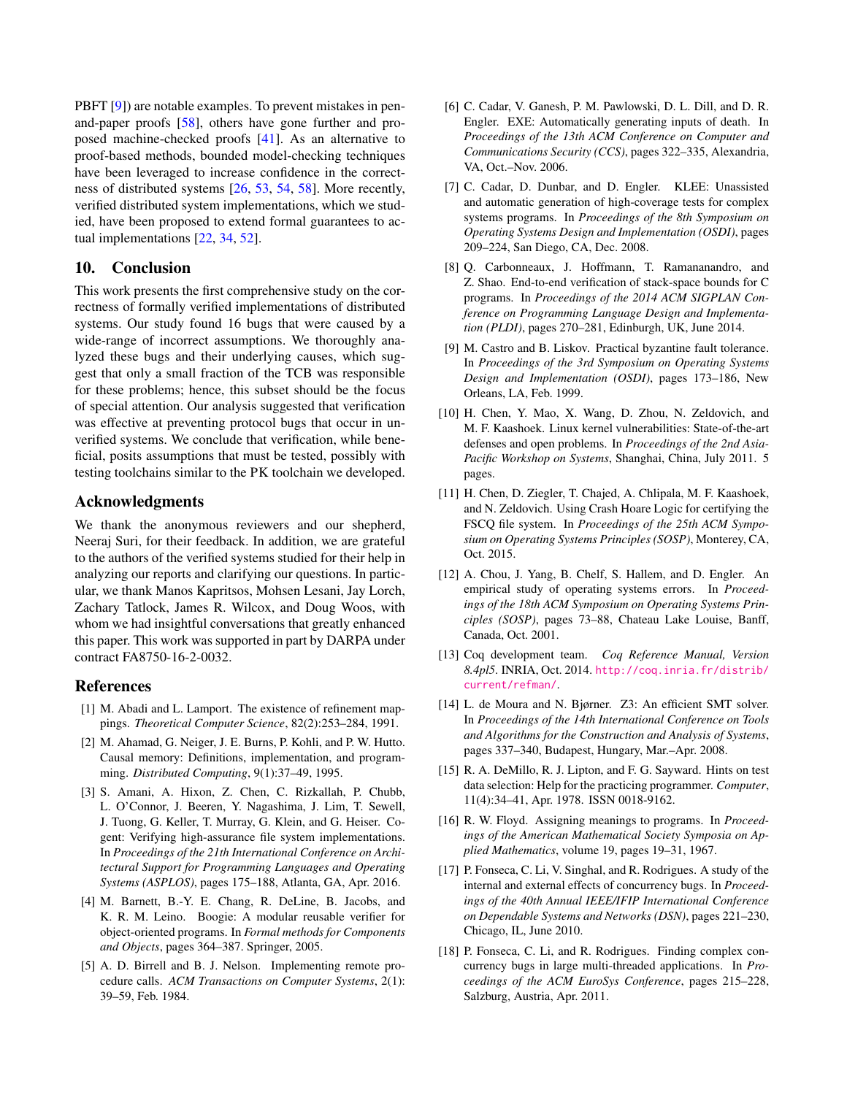PBFT [\[9\]](#page-13-17)) are notable examples. To prevent mistakes in penand-paper proofs [\[58\]](#page-15-11), others have gone further and proposed machine-checked proofs [\[41\]](#page-14-27). As an alternative to proof-based methods, bounded model-checking techniques have been leveraged to increase confidence in the correctness of distributed systems [\[26,](#page-14-2) [53,](#page-15-1) [54,](#page-15-2) [58\]](#page-15-11). More recently, verified distributed system implementations, which we studied, have been proposed to extend formal guarantees to actual implementations [\[22,](#page-14-4) [34,](#page-14-6) [52\]](#page-15-3).

## 10. Conclusion

This work presents the first comprehensive study on the correctness of formally verified implementations of distributed systems. Our study found 16 bugs that were caused by a wide-range of incorrect assumptions. We thoroughly analyzed these bugs and their underlying causes, which suggest that only a small fraction of the TCB was responsible for these problems; hence, this subset should be the focus of special attention. Our analysis suggested that verification was effective at preventing protocol bugs that occur in unverified systems. We conclude that verification, while beneficial, posits assumptions that must be tested, possibly with testing toolchains similar to the PK toolchain we developed.

# Acknowledgments

We thank the anonymous reviewers and our shepherd, Neeraj Suri, for their feedback. In addition, we are grateful to the authors of the verified systems studied for their help in analyzing our reports and clarifying our questions. In particular, we thank Manos Kapritsos, Mohsen Lesani, Jay Lorch, Zachary Tatlock, James R. Wilcox, and Doug Woos, with whom we had insightful conversations that greatly enhanced this paper. This work was supported in part by DARPA under contract FA8750-16-2-0032.

## References

- <span id="page-13-2"></span>[1] M. Abadi and L. Lamport. The existence of refinement mappings. *Theoretical Computer Science*, 82(2):253–284, 1991.
- <span id="page-13-1"></span>[2] M. Ahamad, G. Neiger, J. E. Burns, P. Kohli, and P. W. Hutto. Causal memory: Definitions, implementation, and programming. *Distributed Computing*, 9(1):37–49, 1995.
- <span id="page-13-12"></span>[3] S. Amani, A. Hixon, Z. Chen, C. Rizkallah, P. Chubb, L. O'Connor, J. Beeren, Y. Nagashima, J. Lim, T. Sewell, J. Tuong, G. Keller, T. Murray, G. Klein, and G. Heiser. Cogent: Verifying high-assurance file system implementations. In *Proceedings of the 21th International Conference on Architectural Support for Programming Languages and Operating Systems (ASPLOS)*, pages 175–188, Atlanta, GA, Apr. 2016.
- <span id="page-13-4"></span>[4] M. Barnett, B.-Y. E. Chang, R. DeLine, B. Jacobs, and K. R. M. Leino. Boogie: A modular reusable verifier for object-oriented programs. In *Formal methods for Components and Objects*, pages 364–387. Springer, 2005.
- <span id="page-13-0"></span>[5] A. D. Birrell and B. J. Nelson. Implementing remote procedure calls. *ACM Transactions on Computer Systems*, 2(1): 39–59, Feb. 1984.
- <span id="page-13-8"></span>[6] C. Cadar, V. Ganesh, P. M. Pawlowski, D. L. Dill, and D. R. Engler. EXE: Automatically generating inputs of death. In *Proceedings of the 13th ACM Conference on Computer and Communications Security (CCS)*, pages 322–335, Alexandria, VA, Oct.–Nov. 2006.
- <span id="page-13-9"></span>[7] C. Cadar, D. Dunbar, and D. Engler. KLEE: Unassisted and automatic generation of high-coverage tests for complex systems programs. In *Proceedings of the 8th Symposium on Operating Systems Design and Implementation (OSDI)*, pages 209–224, San Diego, CA, Dec. 2008.
- <span id="page-13-14"></span>[8] Q. Carbonneaux, J. Hoffmann, T. Ramananandro, and Z. Shao. End-to-end verification of stack-space bounds for C programs. In *Proceedings of the 2014 ACM SIGPLAN Conference on Programming Language Design and Implementation (PLDI)*, pages 270–281, Edinburgh, UK, June 2014.
- <span id="page-13-17"></span>[9] M. Castro and B. Liskov. Practical byzantine fault tolerance. In *Proceedings of the 3rd Symposium on Operating Systems Design and Implementation (OSDI)*, pages 173–186, New Orleans, LA, Feb. 1999.
- <span id="page-13-16"></span>[10] H. Chen, Y. Mao, X. Wang, D. Zhou, N. Zeldovich, and M. F. Kaashoek. Linux kernel vulnerabilities: State-of-the-art defenses and open problems. In *Proceedings of the 2nd Asia-Pacific Workshop on Systems*, Shanghai, China, July 2011. 5 pages.
- <span id="page-13-13"></span>[11] H. Chen, D. Ziegler, T. Chajed, A. Chlipala, M. F. Kaashoek, and N. Zeldovich. Using Crash Hoare Logic for certifying the FSCQ file system. In *Proceedings of the 25th ACM Symposium on Operating Systems Principles (SOSP)*, Monterey, CA, Oct. 2015.
- <span id="page-13-10"></span>[12] A. Chou, J. Yang, B. Chelf, S. Hallem, and D. Engler. An empirical study of operating systems errors. In *Proceedings of the 18th ACM Symposium on Operating Systems Principles (SOSP)*, pages 73–88, Chateau Lake Louise, Banff, Canada, Oct. 2001.
- <span id="page-13-6"></span>[13] Coq development team. *Coq Reference Manual, Version 8.4pl5*. INRIA, Oct. 2014. [http://coq.inria.fr/distrib/](http://coq.inria.fr/distrib/current/refman/) [current/refman/](http://coq.inria.fr/distrib/current/refman/).
- <span id="page-13-5"></span>[14] L. de Moura and N. Bjørner. Z3: An efficient SMT solver. In *Proceedings of the 14th International Conference on Tools and Algorithms for the Construction and Analysis of Systems*, pages 337–340, Budapest, Hungary, Mar.–Apr. 2008.
- <span id="page-13-15"></span>[15] R. A. DeMillo, R. J. Lipton, and F. G. Sayward. Hints on test data selection: Help for the practicing programmer. *Computer*, 11(4):34–41, Apr. 1978. ISSN 0018-9162.
- <span id="page-13-3"></span>[16] R. W. Floyd. Assigning meanings to programs. In *Proceedings of the American Mathematical Society Symposia on Applied Mathematics*, volume 19, pages 19–31, 1967.
- <span id="page-13-7"></span>[17] P. Fonseca, C. Li, V. Singhal, and R. Rodrigues. A study of the internal and external effects of concurrency bugs. In *Proceedings of the 40th Annual IEEE/IFIP International Conference on Dependable Systems and Networks (DSN)*, pages 221–230, Chicago, IL, June 2010.
- <span id="page-13-11"></span>[18] P. Fonseca, C. Li, and R. Rodrigues. Finding complex concurrency bugs in large multi-threaded applications. In *Proceedings of the ACM EuroSys Conference*, pages 215–228, Salzburg, Austria, Apr. 2011.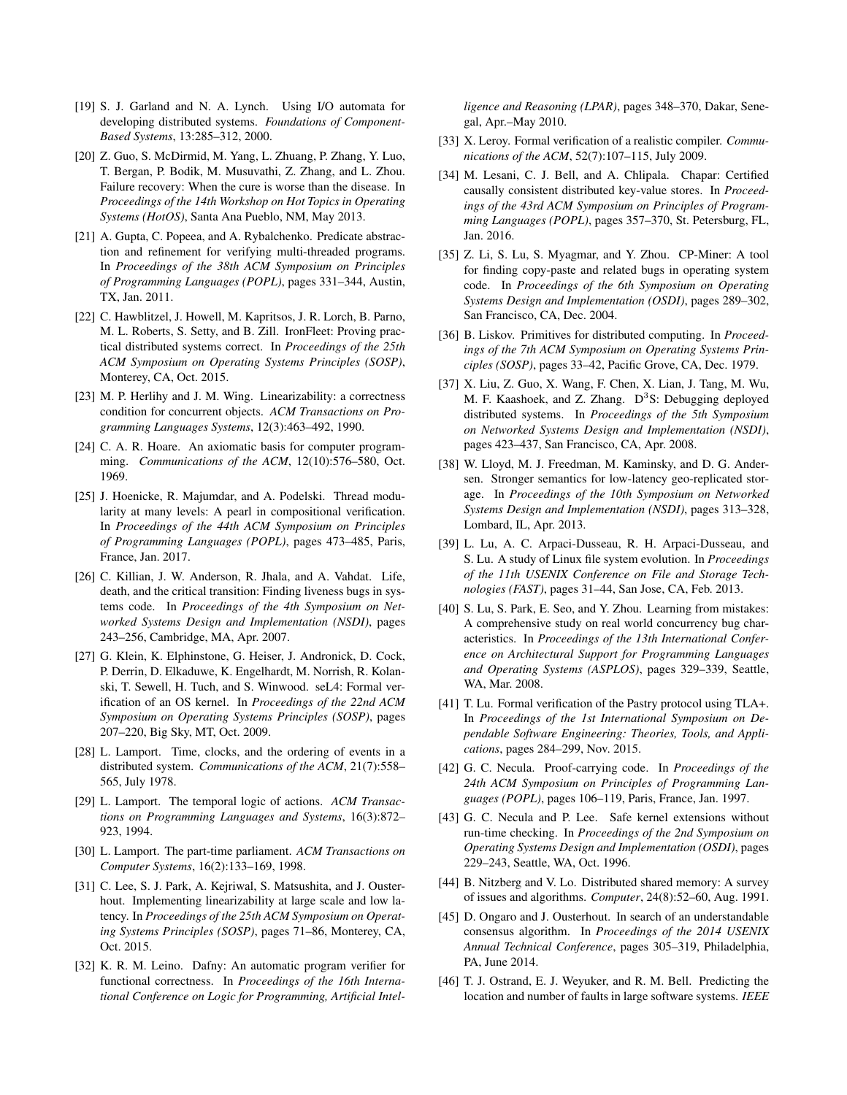- <span id="page-14-15"></span>[19] S. J. Garland and N. A. Lynch. Using I/O automata for developing distributed systems. *Foundations of Component-Based Systems*, 13:285–312, 2000.
- <span id="page-14-26"></span>[20] Z. Guo, S. McDirmid, M. Yang, L. Zhuang, P. Zhang, Y. Luo, T. Bergan, P. Bodik, M. Musuvathi, Z. Zhang, and L. Zhou. Failure recovery: When the cure is worse than the disease. In *Proceedings of the 14th Workshop on Hot Topics in Operating Systems (HotOS)*, Santa Ana Pueblo, NM, May 2013.
- <span id="page-14-21"></span>[21] A. Gupta, C. Popeea, and A. Rybalchenko. Predicate abstraction and refinement for verifying multi-threaded programs. In *Proceedings of the 38th ACM Symposium on Principles of Programming Languages (POPL)*, pages 331–344, Austin, TX, Jan. 2011.
- <span id="page-14-4"></span>[22] C. Hawblitzel, J. Howell, M. Kapritsos, J. R. Lorch, B. Parno, M. L. Roberts, S. Setty, and B. Zill. IronFleet: Proving practical distributed systems correct. In *Proceedings of the 25th ACM Symposium on Operating Systems Principles (SOSP)*, Monterey, CA, Oct. 2015.
- <span id="page-14-12"></span>[23] M. P. Herlihy and J. M. Wing. Linearizability: a correctness condition for concurrent objects. *ACM Transactions on Programming Languages Systems*, 12(3):463–492, 1990.
- <span id="page-14-16"></span>[24] C. A. R. Hoare. An axiomatic basis for computer programming. *Communications of the ACM*, 12(10):576–580, Oct. 1969.
- <span id="page-14-22"></span>[25] J. Hoenicke, R. Majumdar, and A. Podelski. Thread modularity at many levels: A pearl in compositional verification. In *Proceedings of the 44th ACM Symposium on Principles of Programming Languages (POPL)*, pages 473–485, Paris, France, Jan. 2017.
- <span id="page-14-2"></span>[26] C. Killian, J. W. Anderson, R. Jhala, and A. Vahdat. Life, death, and the critical transition: Finding liveness bugs in systems code. In *Proceedings of the 4th Symposium on Networked Systems Design and Implementation (NSDI)*, pages 243–256, Cambridge, MA, Apr. 2007.
- <span id="page-14-7"></span>[27] G. Klein, K. Elphinstone, G. Heiser, J. Andronick, D. Cock, P. Derrin, D. Elkaduwe, K. Engelhardt, M. Norrish, R. Kolanski, T. Sewell, H. Tuch, and S. Winwood. seL4: Formal verification of an OS kernel. In *Proceedings of the 22nd ACM Symposium on Operating Systems Principles (SOSP)*, pages 207–220, Big Sky, MT, Oct. 2009.
- <span id="page-14-14"></span>[28] L. Lamport. Time, clocks, and the ordering of events in a distributed system. *Communications of the ACM*, 21(7):558– 565, July 1978.
- <span id="page-14-5"></span>[29] L. Lamport. The temporal logic of actions. *ACM Transactions on Programming Languages and Systems*, 16(3):872– 923, 1994.
- <span id="page-14-10"></span>[30] L. Lamport. The part-time parliament. *ACM Transactions on Computer Systems*, 16(2):133–169, 1998.
- <span id="page-14-13"></span>[31] C. Lee, S. J. Park, A. Kejriwal, S. Matsushita, and J. Ousterhout. Implementing linearizability at large scale and low latency. In *Proceedings of the 25th ACM Symposium on Operating Systems Principles (SOSP)*, pages 71–86, Monterey, CA, Oct. 2015.
- <span id="page-14-17"></span>[32] K. R. M. Leino. Dafny: An automatic program verifier for functional correctness. In *Proceedings of the 16th International Conference on Logic for Programming, Artificial Intel-*

*ligence and Reasoning (LPAR)*, pages 348–370, Dakar, Senegal, Apr.–May 2010.

- <span id="page-14-8"></span>[33] X. Leroy. Formal verification of a realistic compiler. *Communications of the ACM*, 52(7):107–115, July 2009.
- <span id="page-14-6"></span>[34] M. Lesani, C. J. Bell, and A. Chlipala. Chapar: Certified causally consistent distributed key-value stores. In *Proceedings of the 43rd ACM Symposium on Principles of Programming Languages (POPL)*, pages 357–370, St. Petersburg, FL, Jan. 2016.
- <span id="page-14-23"></span>[35] Z. Li, S. Lu, S. Myagmar, and Y. Zhou. CP-Miner: A tool for finding copy-paste and related bugs in operating system code. In *Proceedings of the 6th Symposium on Operating Systems Design and Implementation (OSDI)*, pages 289–302, San Francisco, CA, Dec. 2004.
- <span id="page-14-0"></span>[36] B. Liskov. Primitives for distributed computing. In *Proceedings of the 7th ACM Symposium on Operating Systems Principles (SOSP)*, pages 33–42, Pacific Grove, CA, Dec. 1979.
- <span id="page-14-3"></span>[37] X. Liu, Z. Guo, X. Wang, F. Chen, X. Lian, J. Tang, M. Wu, M. F. Kaashoek, and Z. Zhang. D<sup>3</sup>S: Debugging deployed distributed systems. In *Proceedings of the 5th Symposium on Networked Systems Design and Implementation (NSDI)*, pages 423–437, San Francisco, CA, Apr. 2008.
- <span id="page-14-9"></span>[38] W. Lloyd, M. J. Freedman, M. Kaminsky, and D. G. Andersen. Stronger semantics for low-latency geo-replicated storage. In *Proceedings of the 10th Symposium on Networked Systems Design and Implementation (NSDI)*, pages 313–328, Lombard, IL, Apr. 2013.
- <span id="page-14-24"></span>[39] L. Lu, A. C. Arpaci-Dusseau, R. H. Arpaci-Dusseau, and S. Lu. A study of Linux file system evolution. In *Proceedings of the 11th USENIX Conference on File and Storage Technologies (FAST)*, pages 31–44, San Jose, CA, Feb. 2013.
- <span id="page-14-18"></span>[40] S. Lu, S. Park, E. Seo, and Y. Zhou. Learning from mistakes: A comprehensive study on real world concurrency bug characteristics. In *Proceedings of the 13th International Conference on Architectural Support for Programming Languages and Operating Systems (ASPLOS)*, pages 329–339, Seattle, WA, Mar. 2008.
- <span id="page-14-27"></span>[41] T. Lu. Formal verification of the Pastry protocol using TLA+. In *Proceedings of the 1st International Symposium on Dependable Software Engineering: Theories, Tools, and Applications*, pages 284–299, Nov. 2015.
- <span id="page-14-20"></span>[42] G. C. Necula. Proof-carrying code. In *Proceedings of the 24th ACM Symposium on Principles of Programming Languages (POPL)*, pages 106–119, Paris, France, Jan. 1997.
- <span id="page-14-19"></span>[43] G. C. Necula and P. Lee. Safe kernel extensions without run-time checking. In *Proceedings of the 2nd Symposium on Operating Systems Design and Implementation (OSDI)*, pages 229–243, Seattle, WA, Oct. 1996.
- <span id="page-14-1"></span>[44] B. Nitzberg and V. Lo. Distributed shared memory: A survey of issues and algorithms. *Computer*, 24(8):52–60, Aug. 1991.
- <span id="page-14-11"></span>[45] D. Ongaro and J. Ousterhout. In search of an understandable consensus algorithm. In *Proceedings of the 2014 USENIX Annual Technical Conference*, pages 305–319, Philadelphia, PA, June 2014.
- <span id="page-14-25"></span>[46] T. J. Ostrand, E. J. Weyuker, and R. M. Bell. Predicting the location and number of faults in large software systems. *IEEE*